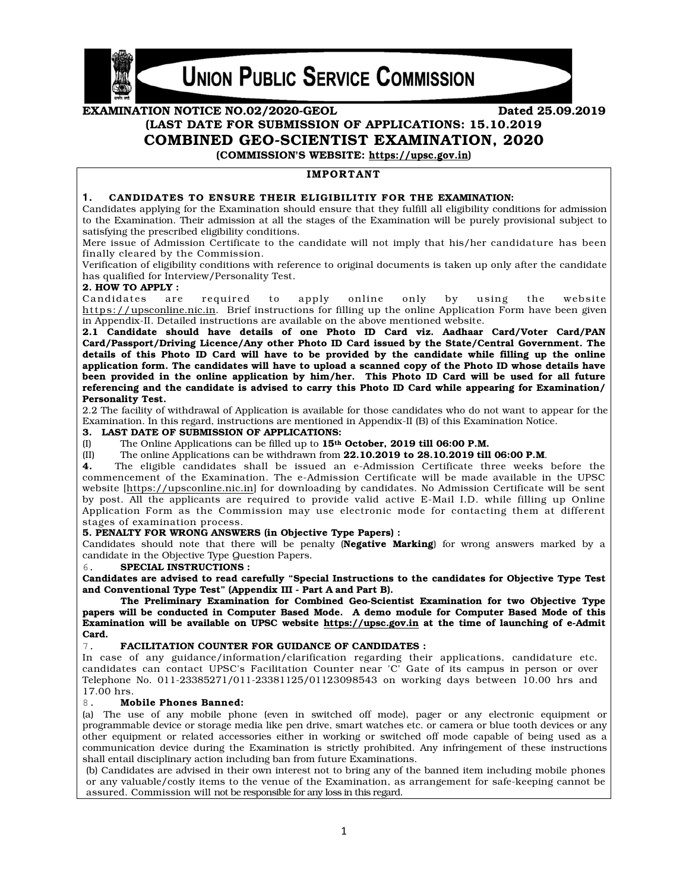

**UNION PUBLIC SERVICE COMMISSION** 

# EXAMINATION NOTICE NO.02/2020-GEOL (LAST DATE FOR SUBMISSION OF APPLICATIONS: 15.10.2019 COMBINED GEO-SCIENTIST EXAMINATION, 2020

(COMMISSION'S WEBSITE: https://upsc.gov.in)

# **IMPORTANT**

#### 1. CANDIDATES TO ENSURE THEIR ELIGIBILITIY FOR THE EXAMINATION:

Candidates applying for the Examination should ensure that they fulfill all eligibility conditions for admission to the Examination. Their admission at all the stages of the Examination will be purely provisional subject to satisfying the prescribed eligibility conditions.

Mere issue of Admission Certificate to the candidate will not imply that his/her candidature has been finally cleared by the Commission.

Verification of eligibility conditions with reference to original documents is taken up only after the candidate has qualified for Interview/Personality Test.

#### 2. HOW TO APPLY :

Candidates are required to apply online only by using the website https://upsconline.nic.in. Brief instructions for filling up the online Application Form have been given in Appendix-II. Detailed instructions are available on the above mentioned website.

2.1 Candidate should have details of one Photo ID Card viz. Aadhaar Card/Voter Card/PAN Card/Passport/Driving Licence/Any other Photo ID Card issued by the State/Central Government. The details of this Photo ID Card will have to be provided by the candidate while filling up the online application form. The candidates will have to upload a scanned copy of the Photo ID whose details have been provided in the online application by him/her. This Photo ID Card will be used for all future referencing and the candidate is advised to carry this Photo ID Card while appearing for Examination/ Personality Test.

2.2 The facility of withdrawal of Application is available for those candidates who do not want to appear for the Examination. In this regard, instructions are mentioned in Appendix-II (B) of this Examination Notice.

#### 3. LAST DATE OF SUBMISSION OF APPLICATIONS:

(I) The Online Applications can be filled up to  $15<sup>th</sup>$  October, 2019 till 06:00 P.M.

(II) The online Applications can be withdrawn from 22.10.2019 to 28.10.2019 till 06:00 P.M.

4. The eligible candidates shall be issued an e-Admission Certificate three weeks before the commencement of the Examination. The e-Admission Certificate will be made available in the UPSC website [https://upsconline.nic.in] for downloading by candidates. No Admission Certificate will be sent by post. All the applicants are required to provide valid active E-Mail I.D. while filling up Online Application Form as the Commission may use electronic mode for contacting them at different stages of examination process.

## 5. PENALTY FOR WRONG ANSWERS (in Objective Type Papers) :

Candidates should note that there will be penalty (Negative Marking) for wrong answers marked by a candidate in the Objective Type Question Papers.

#### SPECIAL INSTRUCTIONS :

Candidates are advised to read carefully "Special Instructions to the candidates for Objective Type Test and Conventional Type Test" (Appendix III - Part A and Part B).

 The Preliminary Examination for Combined Geo-Scientist Examination for two Objective Type papers will be conducted in Computer Based Mode. A demo module for Computer Based Mode of this Examination will be available on UPSC website https://upsc.gov.in at the time of launching of e-Admit Card.

#### 7. FACILITATION COUNTER FOR GUIDANCE OF CANDIDATES :

In case of any guidance/information/clarification regarding their applications, candidature etc. candidates can contact UPSC's Facilitation Counter near 'C' Gate of its campus in person or over Telephone No. 011-23385271/011-23381125/01123098543 on working days between 10.00 hrs and 17.00 hrs.

#### 8. Mobile Phones Banned:

(a) The use of any mobile phone (even in switched off mode), pager or any electronic equipment or programmable device or storage media like pen drive, smart watches etc. or camera or blue tooth devices or any other equipment or related accessories either in working or switched off mode capable of being used as a communication device during the Examination is strictly prohibited. Any infringement of these instructions shall entail disciplinary action including ban from future Examinations.

(b) Candidates are advised in their own interest not to bring any of the banned item including mobile phones or any valuable/costly items to the venue of the Examination, as arrangement for safe-keeping cannot be assured. Commission will not be responsible for any loss in this regard.

Dated 25.09.2019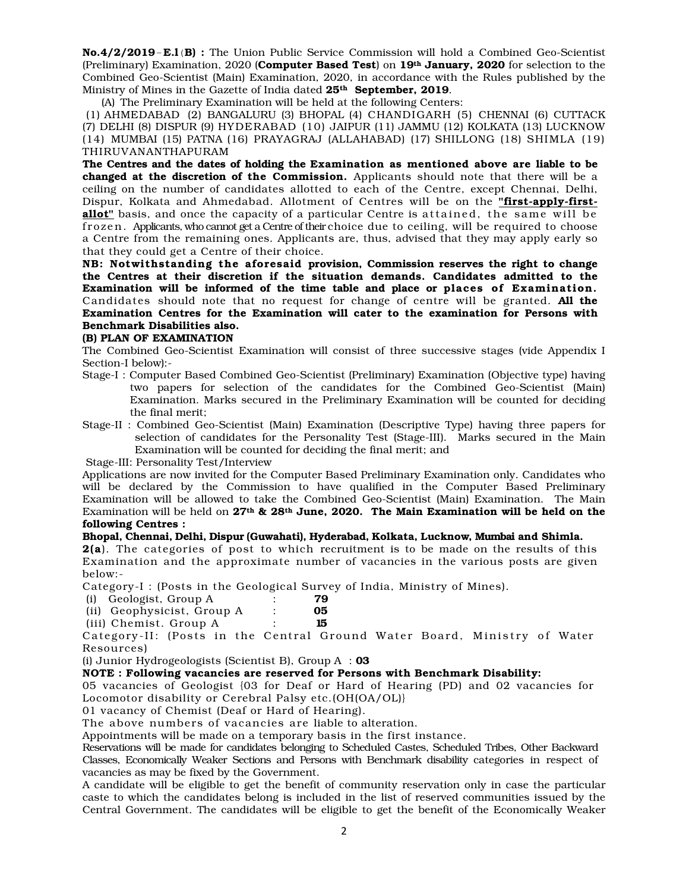No.4/2/2019-E.l(B) : The Union Public Service Commission will hold a Combined Geo-Scientist (Preliminary) Examination, 2020 (Computer Based Test) on  $19<sup>th</sup>$  January, 2020 for selection to the Combined Geo-Scientist (Main) Examination, 2020, in accordance with the Rules published by the Ministry of Mines in the Gazette of India dated 25<sup>th</sup> September, 2019.

(A) The Preliminary Examination will be held at the following Centers:

 (1) AHMEDABAD (2) BANGALURU (3) BHOPAL (4) CHANDIGARH (5) CHENNAI (6) CUTTACK (7) DELHI (8) DISPUR (9) HYDERABAD (10) JAIPUR (11) JAMMU (12) KOLKATA (13) LUCKNOW (14) MUMBAI (15) PATNA (16) PRAYAGRAJ (ALLAHABAD) (17) SHILLONG (18) SHIMLA (19) THIRUVANANTHAPURAM

The Centres and the dates of holding the Examination as mentioned above are liable to be changed at the discretion of the Commission. Applicants should note that there will be a ceiling on the number of candidates allotted to each of the Centre, except Chennai, Delhi, Dispur, Kolkata and Ahmedabad. Allotment of Centres will be on the "first-apply-firstallot" basis, and once the capacity of a particular Centre is attained, the same will be froze n. Applicants, who cannot get a Centre of their choice due to ceiling, will be required to choose a Centre from the remaining ones. Applicants are, thus, advised that they may apply early so that they could get a Centre of their choice.

NB: Notwithstanding the aforesaid provision, Commission reserves the right to change the Centres at their discretion if the situation demands. Candidates admitted to the Examination will be informed of the time table and place or places of Examination. Candidates should note that no request for change of centre will be granted. All the Examination Centres for the Examination will cater to the examination for Persons with Benchmark Disabilities also.

#### (B) PLAN OF EXAMINATION

The Combined Geo-Scientist Examination will consist of three successive stages (vide Appendix I Section-I below):-

- Stage-I : Computer Based Combined Geo-Scientist (Preliminary) Examination (Objective type) having two papers for selection of the candidates for the Combined Geo-Scientist (Main) Examination. Marks secured in the Preliminary Examination will be counted for deciding the final merit;
- Stage-II : Combined Geo-Scientist (Main) Examination (Descriptive Type) having three papers for selection of candidates for the Personality Test (Stage-III). Marks secured in the Main Examination will be counted for deciding the final merit; and

Stage-III: Personality Test/Interview

Applications are now invited for the Computer Based Preliminary Examination only. Candidates who will be declared by the Commission to have qualified in the Computer Based Preliminary Examination will be allowed to take the Combined Geo-Scientist (Main) Examination. The Main Examination will be held on  $27<sup>th</sup>$  &  $28<sup>th</sup>$  June, 2020. The Main Examination will be held on the following Centres :

## Bhopal, Chennai, Delhi, Dispur (Guwahati), Hyderabad, Kolkata, Lucknow, Mumbai and Shimla.

2(a). The categories of post to which recruitment is to be made on the results of this Examination and the approximate number of vacancies in the various posts are given below:-

Category-I : (Posts in the Geological Survey of India, Ministry of Mines).

(i) Geologist, Group A : 79

| (ii) Geophysicist, Group A |  |  |    |
|----------------------------|--|--|----|
|                            |  |  | 05 |

|        | (iii) Chemist. Group A |  |  |  |  |  |
|--------|------------------------|--|--|--|--|--|
| $\sim$ |                        |  |  |  |  |  |

Category-II: (Posts in the Central Ground Water Board, Ministry of Water Resources)

(i) Junior Hydrogeologists (Scientist B), Group  $A : 03$ 

# NOTE : Following vacancies are reserved for Persons with Benchmark Disability:

05 vacancies of Geologist {03 for Deaf or Hard of Hearing (PD) and 02 vacancies for Locomotor disability or Cerebral Palsy etc.(OH(OA/OL)}

01 vacancy of Chemist (Deaf or Hard of Hearing).

The above numbers of vacancies are liable to alteration.

Appointments will be made on a temporary basis in the first instance.

Reservations will be made for candidates belonging to Scheduled Castes, Scheduled Tribes, Other Backward Classes, Economically Weaker Sections and Persons with Benchmark disability categories in respect of vacancies as may be fixed by the Government.

A candidate will be eligible to get the benefit of community reservation only in case the particular caste to which the candidates belong is included in the list of reserved communities issued by the Central Government. The candidates will be eligible to get the benefit of the Economically Weaker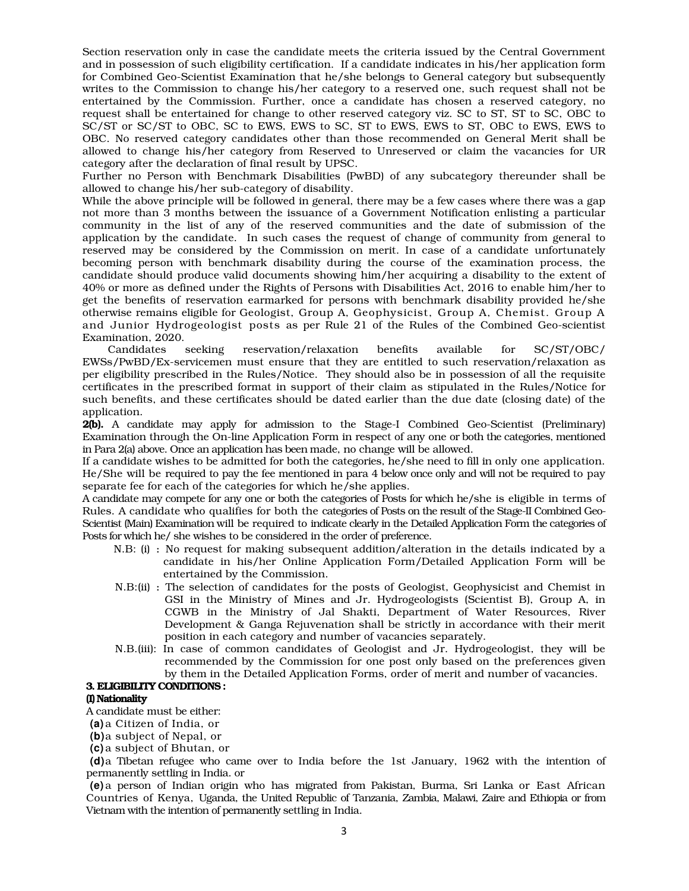Section reservation only in case the candidate meets the criteria issued by the Central Government and in possession of such eligibility certification. If a candidate indicates in his/her application form for Combined Geo-Scientist Examination that he/she belongs to General category but subsequently writes to the Commission to change his/her category to a reserved one, such request shall not be entertained by the Commission. Further, once a candidate has chosen a reserved category, no request shall be entertained for change to other reserved category viz. SC to ST, ST to SC, OBC to SC/ST or SC/ST to OBC, SC to EWS, EWS to SC, ST to EWS, EWS to ST, OBC to EWS, EWS to OBC. No reserved category candidates other than those recommended on General Merit shall be allowed to change his/her category from Reserved to Unreserved or claim the vacancies for UR category after the declaration of final result by UPSC.

Further no Person with Benchmark Disabilities (PwBD) of any subcategory thereunder shall be allowed to change his/her sub-category of disability.

While the above principle will be followed in general, there may be a few cases where there was a gap not more than 3 months between the issuance of a Government Notification enlisting a particular community in the list of any of the reserved communities and the date of submission of the application by the candidate. In such cases the request of change of community from general to reserved may be considered by the Commission on merit. In case of a candidate unfortunately becoming person with benchmark disability during the course of the examination process, the candidate should produce valid documents showing him/her acquiring a disability to the extent of 40% or more as defined under the Rights of Persons with Disabilities Act, 2016 to enable him/her to get the benefits of reservation earmarked for persons with benchmark disability provided he/she otherwise remains eligible for Geologist, Group A, Geophysicist, Group A, Chemist. Group A and Junior Hydrogeologist posts as per Rule 21 of the Rules of the Combined Geo-scientist Examination, 2020.

Candidates seeking reservation/relaxation benefits available for SC/ST/OBC/ EWSs/PwBD/Ex-servicemen must ensure that they are entitled to such reservation/relaxation as per eligibility prescribed in the Rules/Notice. They should also be in possession of all the requisite certificates in the prescribed format in support of their claim as stipulated in the Rules/Notice for such benefits, and these certificates should be dated earlier than the due date (closing date) of the application.

2(b). A candidate may apply for admission to the Stage-I Combined Geo-Scientist (Preliminary) Examination through the On-line Application Form in respect of any one or both the categories, mentioned in Para 2(a) above. Once an application has been made, no change will be allowed.

If a candidate wishes to be admitted for both the categories, he/she need to fill in only one application. He/She will be required to pay the fee mentioned in para 4 below once only and will not be required to pay separate fee for each of the categories for which he/she applies.

A candidate may compete for any one or both the categories of Posts for which he/she is eligible in terms of Rules. A candidate who qualifies for both the categories of Posts on the result of the Stage-II Combined Geo-Scientist (Main) Examination will be required to indicate clearly in the Detailed Application Form the categories of Posts for which he/ she wishes to be considered in the order of preference.

- N.B: (i) : No request for making subsequent addition/alteration in the details indicated by a candidate in his/her Online Application Form/Detailed Application Form will be entertained by the Commission.
- N.B:(ii) : The selection of candidates for the posts of Geologist, Geophysicist and Chemist in GSI in the Ministry of Mines and Jr. Hydrogeologists (Scientist B), Group A, in CGWB in the Ministry of Jal Shakti, Department of Water Resources, River Development & Ganga Rejuvenation shall be strictly in accordance with their merit position in each category and number of vacancies separately.
- N.B.(iii): In case of common candidates of Geologist and Jr. Hydrogeologist, they will be recommended by the Commission for one post only based on the preferences given by them in the Detailed Application Forms, order of merit and number of vacancies.

#### 3. ELIGIBILITY CONDITIONS :

#### (I) Nationality

A candidate must be either:

**(a)** a Citizen of India, or

**(b)** a subject of Nepal, or

**(c)** a subject of Bhutan, or

**(d)** a Tibetan refugee who came over to India before the 1st January, 1962 with the intention of permanently settling in India. or

**(e)** a person of Indian origin who has migrated from Pakistan, Burma, Sri Lanka or East African Countries of Kenya, Uganda, the United Republic of Tanzania, Zambia, Malawi, Zaire and Ethiopia or from Vietnam with the intention of permanently settling in India.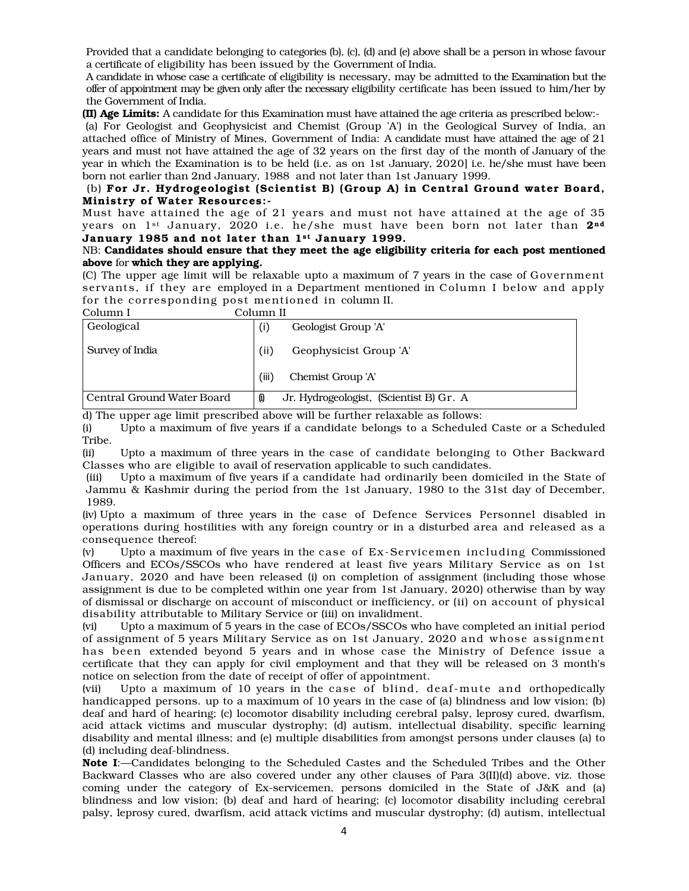Provided that a candidate belonging to categories (b), (c), (d) and (e) above shall be a person in whose favour a certificate of eligibility has been issued by the Government of India.

A candidate in whose case a certificate of eligibility is necessary, may be admitted to the Examination but the offer of appointment may be given only after the necessary eligibility certificate has been issued to him/her by the Government of India.

(II) Age Limits: A candidate for this Examination must have attained the age criteria as prescribed below:-

 (a) For Geologist and Geophysicist and Chemist (Group 'A') in the Geological Survey of India, an attached office of Ministry of Mines, Government of India: A candidate must have attained the age of 21 years and must not have attained the age of 32 years on the first day of the month of January of the year in which the Examination is to be held (i.e. as on 1st January, 2020] i.e. he/she must have been born not earlier than 2nd January, 1988 and not later than 1st January 1999.

## (b) For Jr. Hydrogeologist (Scientist B) (Group A) in Central Ground water Board, Ministry of Water Resources : -

Must have attained the age of 21 years and must not have attained at the age of 35 years on 1st January, 2020 i.e. he/she must have been born not later than 2<sup>nd</sup> January 1985 and not later than 1st January 1999.

## NB: Candidates should ensure that they meet the age eligibility criteria for each post mentioned above for which they are applying.

(C) The upper age limit will be relaxable upto a maximum of 7 years in the case of Government servants, if they are employed in a Department mentioned in Column I below and apply for the corresponding post mentioned in column II.

| Column I                   | Column II                                     |
|----------------------------|-----------------------------------------------|
| Geological                 | Geologist Group 'A'<br>(i)                    |
| Survey of India            | Geophysicist Group 'A'<br>(ii)                |
|                            | (iii)<br>Chemist Group 'A'                    |
| Central Ground Water Board | Jr. Hydrogeologist, (Scientist B) Gr. A<br>Û) |

d) The upper age limit prescribed above will be further relaxable as follows:

(i) Upto a maximum of five years if a candidate belongs to a Scheduled Caste or a Scheduled Tribe.

(ii) Upto a maximum of three years in the case of candidate belonging to Other Backward Classes who are eligible to avail of reservation applicable to such candidates.

(iii) Upto a maximum of five years if a candidate had ordinarily been domiciled in the State of Jammu & Kashmir during the period from the 1st January, 1980 to the 31st day of December, 1989.

(iv) Upto a maximum of three years in the case of Defence Services Personnel disabled in operations during hostilities with any foreign country or in a disturbed area and released as a consequence thereof:

(v) Upto a maximum of five years in the case of  $Ex$ -Servicemen including Commissioned Officers and ECOs/SSCOs who have rendered at least five years Military Service as on 1st January, 2020 and have been released (i) on completion of assignment (including those whose assignment is due to be completed within one year from 1st January, 2020) otherwise than by way of dismissal or discharge on account of misconduct or inefficiency, or (ii) on account of physical disability attributable to Military Service or (iii) on invalidment.

(vi) Upto a maximum of 5 years in the case of ECOs/SSCOs who have completed an initial period of assignment of 5 years Military Service as on 1st January, 2020 and whose assignment has been extended beyond 5 years and in whose case the Ministry of Defence issue a certificate that they can apply for civil employment and that they will be released on 3 month's notice on selection from the date of receipt of offer of appointment.

(vii) Upto a maximum of 10 years in the case of blind, deaf-mute and orthopedically handicapped persons. up to a maximum of 10 years in the case of (a) blindness and low vision; (b) deaf and hard of hearing; (c) locomotor disability including cerebral palsy, leprosy cured, dwarfism, acid attack victims and muscular dystrophy; (d) autism, intellectual disability, specific learning disability and mental illness; and (e) multiple disabilities from amongst persons under clauses (a) to (d) including deaf-blindness.

Note I:—Candidates belonging to the Scheduled Castes and the Scheduled Tribes and the Other Backward Classes who are also covered under any other clauses of Para 3(II)(d) above, viz. those coming under the category of Ex-servicemen, persons domiciled in the State of J&K and (a) blindness and low vision; (b) deaf and hard of hearing; (c) locomotor disability including cerebral palsy, leprosy cured, dwarfism, acid attack victims and muscular dystrophy; (d) autism, intellectual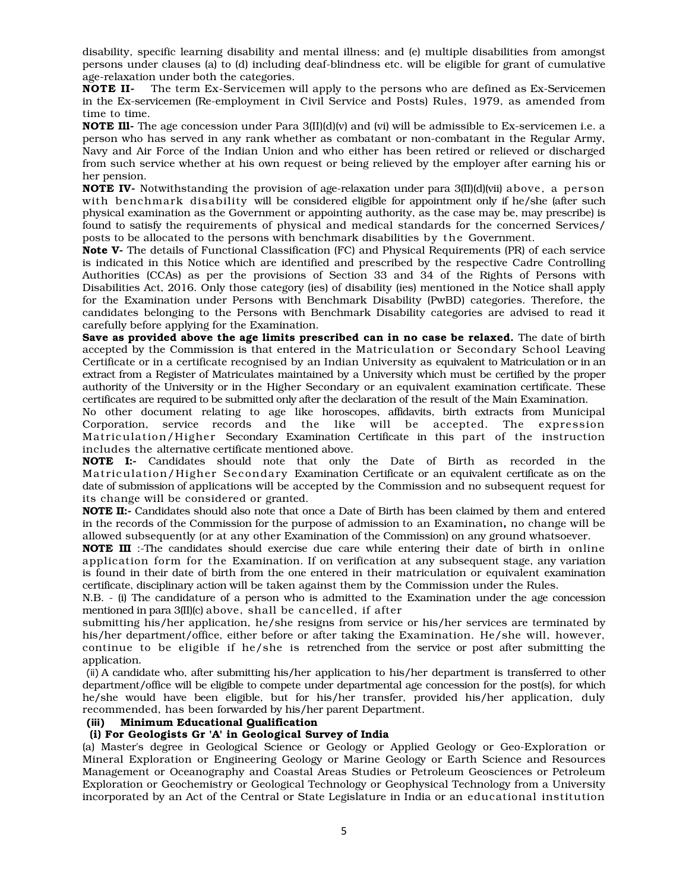disability, specific learning disability and mental illness; and (e) multiple disabilities from amongst persons under clauses (a) to (d) including deaf-blindness etc. will be eligible for grant of cumulative age-relaxation under both the categories.

**NOTE II-** The term Ex-Servicemen will apply to the persons who are defined as Ex-Servicemen in the Ex-servicemen (Re-employment in Civil Service and Posts) Rules, 1979, as amended from time to time.

**NOTE III-** The age concession under Para  $3$ (II)(d)(v) and (vi) will be admissible to Ex-servicemen i.e. a person who has served in any rank whether as combatant or non-combatant in the Regular Army, Navy and Air Force of the Indian Union and who either has been retired or relieved or discharged from such service whether at his own request or being relieved by the employer after earning his or her pension.

**NOTE IV**- Notwithstanding the provision of age-relaxation under para 3(II)(d)(vii) above, a person with benchmark disability will be considered eligible for appointment only if he/she (after such physical examination as the Government or appointing authority, as the case may be, may prescribe) is found to satisfy the requirements of physical and medical standards for the concerned Services/ posts to be allocated to the persons with benchmark disabilities by the Government.

Note V- The details of Functional Classification (FC) and Physical Requirements (PR) of each service is indicated in this Notice which are identified and prescribed by the respective Cadre Controlling Authorities (CCAs) as per the provisions of Section 33 and 34 of the Rights of Persons with Disabilities Act, 2016. Only those category (ies) of disability (ies) mentioned in the Notice shall apply for the Examination under Persons with Benchmark Disability (PwBD) categories. Therefore, the candidates belonging to the Persons with Benchmark Disability categories are advised to read it carefully before applying for the Examination.

Save as provided above the age limits prescribed can in no case be relaxed. The date of birth accepted by the Commission is that entered in the Matriculation or Secondary School Leaving Certificate or in a certificate recognised by an Indian University as equivalent to Matriculation or in an extract from a Register of Matriculates maintained by a University which must be certified by the proper authority of the University or in the Higher Secondary or an equivalent examination certificate. These certificates are required to be submitted only after the declaration of the result of the Main Examination.

No other document relating to age like horoscopes, affidavits, birth extracts from Municipal Corporation, service records and the like will be accepted. The expression Matriculation/Higher Secondary Examination Certificate in this part of the instruction includes the alternative certificate mentioned above.

NOTE I:- Candidates should note that only the Date of Birth as recorded in the Matriculation/Higher Secondary Examination Certificate or an equivalent certificate as on the date of submission of applications will be accepted by the Commission and no subsequent request for its change will be considered or granted.

NOTE II:- Candidates should also note that once a Date of Birth has been claimed by them and entered in the records of the Commission for the purpose of admission to an Examination, no change will be allowed subsequently (or at any other Examination of the Commission) on any ground whatsoever.

NOTE III :-The candidates should exercise due care while entering their date of birth in online application form for the Examination. If on verification at any subsequent stage, any variation is found in their date of birth from the one entered in their matriculation or equivalent examination certificate, disciplinary action will be taken against them by the Commission under the Rules.

N.B. - (i) The candidature of a person who is admitted to the Examination under the age concession mentioned in para 3(II)(c) above, shall be cancelled, if after

submitting his/her application, he/she resigns from service or his/her services are terminated by his/her department/office, either before or after taking the Examination. He/she will, however, continue to be eligible if he/she is retrenched from the service or post after submitting the application.

(ii) A candidate who, after submitting his/her application to his/her department is transferred to other department/office will be eligible to compete under departmental age concession for the post(s), for which he/she would have been eligible, but for his/her transfer, provided his/her application, duly recommended, has been forwarded by his/her parent Department.

# **(iii)** Minimum Educational Qualification

#### (i) For Geologists Gr 'A' in Geological Survey of India

(a) Master's degree in Geological Science or Geology or Applied Geology or Geo-Exploration or Mineral Exploration or Engineering Geology or Marine Geology or Earth Science and Resources Management or Oceanography and Coastal Areas Studies or Petroleum Geosciences or Petroleum Exploration or Geochemistry or Geological Technology or Geophysical Technology from a University incorporated by an Act of the Central or State Legislature in India or an educational institution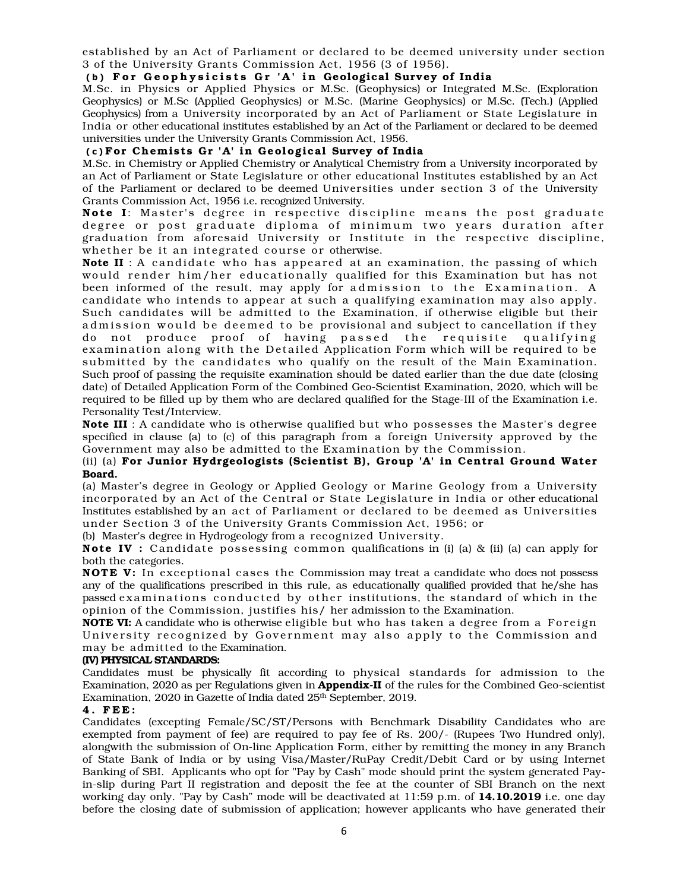established by an Act of Parliament or declared to be deemed university under section 3 of the University Grants Commission Act, 1956 (3 of 1956).

## (b) For Geophysicists Gr 'A' in Geological Survey of India

M.Sc. in Physics or Applied Physics or M.Sc. (Geophysics) or Integrated M.Sc. (Exploration Geophysics) or M.Sc (Applied Geophysics) or M.Sc. (Marine Geophysics) or M.Sc. (Tech.) (Applied Geophysics) from a University incorporated by an Act of Parliament or State Legislature in India or other educational institutes established by an Act of the Parliament or declared to be deemed universities under the University Grants Commission Act, 1956.

## (c) For Chemists Gr 'A' in Geological Survey of India

M.Sc. in Chemistry or Applied Chemistry or Analytical Chemistry from a University incorporated by an Act of Parliament or State Legislature or other educational Institutes established by an Act of the Parliament or declared to be deemed Universities under section 3 of the University Grants Commission Act, 1956 i.e. recognized University.

Note I: Master's degree in respective discipline means the post graduate degree or post graduate diploma of minimum two years duration after graduation from aforesaid University or Institute in the respective discipline, whether be it an integrated course or otherwise.

**Note II**: A candidate who has appeared at an examination, the passing of which would render him/her educationally qualified for this Examination but has not been informed of the result, may apply for admission to the Examination. A candidate who intends to appear at such a qualifying examination may also apply. Such candidates will be admitted to the Examination, if otherwise eligible but their ad mission would be deemed to be provisional and subject to cancellation if they do not produce proof of having passed the requisite qualifying examination along with the Detailed Application Form which will be required to be submitted by the candidates who qualify on the result of the Main Examination. Such proof of passing the requisite examination should be dated earlier than the due date (closing date) of Detailed Application Form of the Combined Geo-Scientist Examination, 2020, which will be required to be filled up by them who are declared qualified for the Stage-III of the Examination i.e. Personality Test/Interview.

Note III : A candidate who is otherwise qualified but who possesses the Master's degree specified in clause (a) to (c) of this paragraph from a foreign University approved by the Government may also be admitted to the Examination by the Commission.

## (ii) (a) For Junior Hydrgeologists (Scientist B), Group 'A' in Central Ground Water Board.

(a) Master's degree in Geology or Applied Geology or Marine Geology from a University incorporated by an Act of the Central or State Legislature in India or other educational Institutes established by an act of Parliament or declared to be deemed as Universities under Section 3 of the University Grants Commission Act, 1956; or

(b) Master's degree in Hydrogeology from a recognized University.

**Note IV** : Candidate possessing common qualifications in (i) (a) & (ii) (a) can apply for both the categories.

**NOTE V:** In exceptional cases the Commission may treat a candidate who does not possess any of the qualifications prescribed in this rule, as educationally qualified provided that he/she has passed examinations conducted by other institutions, the standard of which in the opinion of the Commission, justifies his/ her admission to the Examination.

NOTE VI: A candidate who is otherwise eligible but who has taken a degree from a Foreign University recognized by Government may also apply to the Commission and may be admitted to the Examination.

#### (IV) PHYSICAL STANDARDS:

Candidates must be physically fit according to physical standards for admission to the Examination, 2020 as per Regulations given in **Appendix-II** of the rules for the Combined Geo-scientist Examination, 2020 in Gazette of India dated 25<sup>th</sup> September, 2019.

#### 4 . F E E :

Candidates (excepting Female/SC/ST/Persons with Benchmark Disability Candidates who are exempted from payment of fee) are required to pay fee of Rs. 200/- (Rupees Two Hundred only), alongwith the submission of On-line Application Form, either by remitting the money in any Branch of State Bank of India or by using Visa/Master/RuPay Credit/Debit Card or by using Internet Banking of SBI. Applicants who opt for "Pay by Cash" mode should print the system generated Payin-slip during Part II registration and deposit the fee at the counter of SBI Branch on the next working day only. "Pay by Cash" mode will be deactivated at 11:59 p.m. of 14.10.2019 i.e. one day before the closing date of submission of application; however applicants who have generated their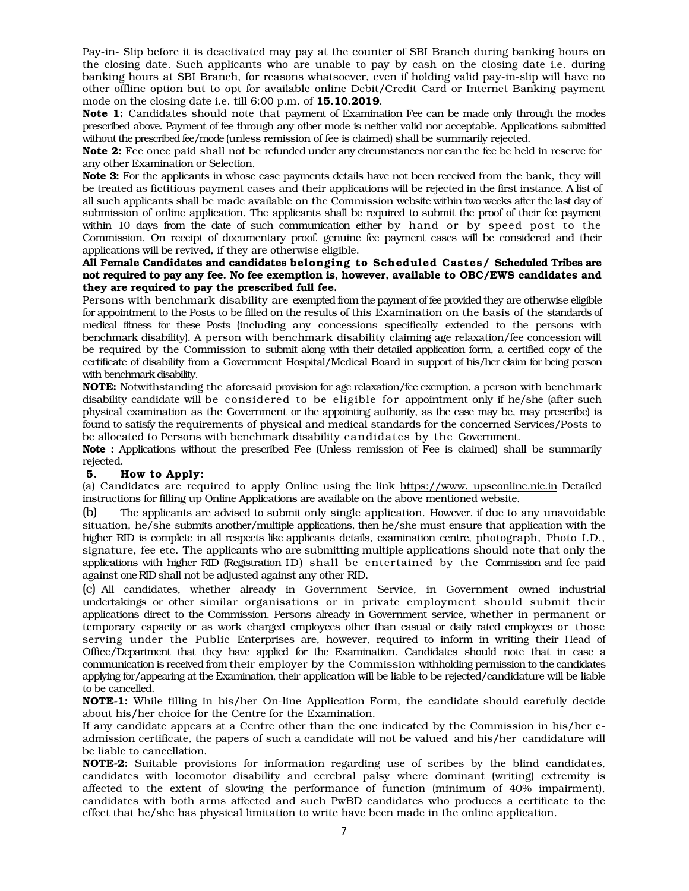Pay-in- Slip before it is deactivated may pay at the counter of SBI Branch during banking hours on the closing date. Such applicants who are unable to pay by cash on the closing date i.e. during banking hours at SBI Branch, for reasons whatsoever, even if holding valid pay-in-slip will have no other offline option but to opt for available online Debit/Credit Card or Internet Banking payment mode on the closing date i.e. till 6:00 p.m. of **15.10.2019**.

Note 1: Candidates should note that payment of Examination Fee can be made only through the modes prescribed above. Payment of fee through any other mode is neither valid nor acceptable. Applications submitted without the prescribed fee/mode (unless remission of fee is claimed) shall be summarily rejected.

Note 2: Fee once paid shall not be refunded under any circumstances nor can the fee be held in reserve for any other Examination or Selection.

Note 3: For the applicants in whose case payments details have not been received from the bank, they will be treated as fictitious payment cases and their applications will be rejected in the first instance. A list of all such applicants shall be made available on the Commission website within two weeks after the last day of submission of online application. The applicants shall be required to submit the proof of their fee payment within 10 days from the date of such communication either by hand or by speed post to the Commission. On receipt of documentary proof, genuine fee payment cases will be considered and their applications will be revived, if they are otherwise eligible.

All Female Candidates and candidates be longing to Scheduled Castes/ Scheduled Tribes are not required to pay any fee. No fee exemption is, however, available to OBC/EWS candidates and they are required to pay the prescribed full fee.

Persons with benchmark disability are exempted from the payment of fee provided they are otherwise eligible for appointment to the Posts to be filled on the results of this Examination on the basis of the standards of medical fitness for these Posts (including any concessions specifically extended to the persons with benchmark disability). A person with benchmark disability claiming age relaxation/fee concession will be required by the Commission to submit along with their detailed application form, a certified copy of the certificate of disability from a Government Hospital/Medical Board in support of his/her claim for being person with benchmark disability.

NOTE: Notwithstanding the aforesaid provision for age relaxation/fee exemption, a person with benchmark disability candidate will be considered to be eligible for appointment only if he/she (after such physical examination as the Government or the appointing authority, as the case may be, may prescribe) is found to satisfy the requirements of physical and medical standards for the concerned Services/Posts to be allocated to Persons with benchmark disability candidates by the Government.

Note : Applications without the prescribed Fee (Unless remission of Fee is claimed) shall be summarily rejected.

#### 5. How to Apply:

(a) Candidates are required to apply Online using the link https://www. upsconline.nic.in Detailed instructions for filling up Online Applications are available on the above mentioned website.

(b) The applicants are advised to submit only single application. However, if due to any unavoidable situation, he/she submits another/multiple applications, then he/she must ensure that application with the higher RID is complete in all respects like applicants details, examination centre, photograph, Photo I.D., signature, fee etc. The applicants who are submitting multiple applications should note that only the applications with higher RID (Registration ID) shall be entertained by the Commission and fee paid against one RID shall not be adjusted against any other RID.

(c) All candidates, whether already in Government Service, in Government owned industrial undertakings or other similar organisations or in private employment should submit their applications direct to the Commission. Persons already in Government service, whether in permanent or temporary capacity or as work charged employees other than casual or daily rated employees or those serving under the Public Enterprises are, however, required to inform in writing their Head of Office/Department that they have applied for the Examination. Candidates should note that in case a communication is received from their employer by the Commission withholding permission to the candidates applying for/appearing at the Examination, their application will be liable to be rejected/candidature will be liable to be cancelled.

NOTE-1: While filling in his/her On-line Application Form, the candidate should carefully decide about his/her choice for the Centre for the Examination.

If any candidate appears at a Centre other than the one indicated by the Commission in his/her eadmission certificate, the papers of such a candidate will not be valued and his/her candidature will be liable to cancellation.

NOTE-2: Suitable provisions for information regarding use of scribes by the blind candidates, candidates with locomotor disability and cerebral palsy where dominant (writing) extremity is affected to the extent of slowing the performance of function (minimum of 40% impairment), candidates with both arms affected and such PwBD candidates who produces a certificate to the effect that he/she has physical limitation to write have been made in the online application.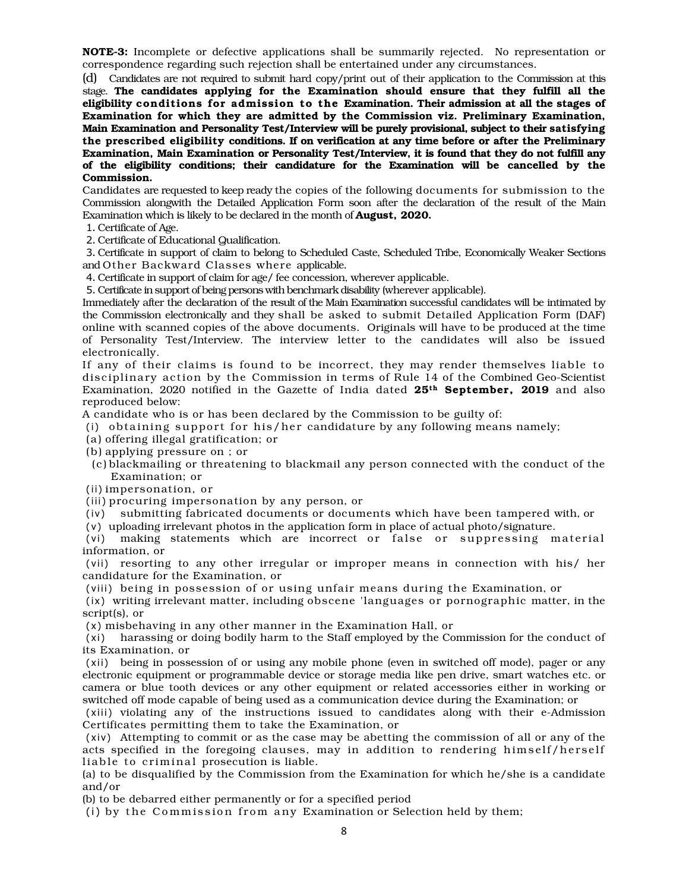NOTE-3: Incomplete or defective applications shall be summarily rejected. No representation or correspondence regarding such rejection shall be entertained under any circumstances.

(d) Candidates are not required to submit hard copy/print out of their application to the Commission at this stage. The candidates applying for the Examination should ensure that they fulfill all the eligibility conditions for admission to the Examination. Their admission at all the stages of Examination for which they are admitted by the Commission viz. Preliminary Examination, Main Examination and Personality Test/Interview will be purely provisional, subject to their satisfying the prescribed eligibility conditions. If on verification at any time before or after the Preliminary Examination, Main Examination or Personality Test/Interview, it is found that they do not fulfill any of the eligibility conditions; their candidature for the Examination will be cancelled by the Commission.

Candidates are requested to keep ready the copies of the following documents for submission to the Commission alongwith the Detailed Application Form soon after the declaration of the result of the Main Examination which is likely to be declared in the month of **August**, 2020.

1. Certificate of Age.

2. Certificate of Educational Qualification.

3. Certificate in support of claim to belong to Scheduled Caste, Scheduled Tribe, Economically Weaker Sections and Other Backward Classes where applicable.

4. Certificate in support of claim for age/ fee concession, wherever applicable.

5. Certificate in support of being persons with benchmark disability (wherever applicable).

Immediately after the declaration of the result of the Main Examination successful candidates will be intimated by the Commission electronically and they shall be asked to submit Detailed Application Form (DAF) online with scanned copies of the above documents. Originals will have to be produced at the time of Personality Test/Interview. The interview letter to the candidates will also be issued electronically.

If any of their claims is found to be incorrect, they may render themselves liable to disciplinary action by the Commission in terms of Rule 14 of the Combined Geo-Scientist Examination, 2020 notified in the Gazette of India dated 25<sup>th</sup> September, 2019 and also reproduced below:

A candidate who is or has been declared by the Commission to be guilty of:

- (i) obtaining support for his/her candidature by any following means namely;
- (a) offering illegal gratification; or
- (b) applying pressure on ; or
- (c ) blackmailing or threatening to blackmail any person connected with the conduct of the Examination; or
- (ii) impersonation, or

 $(iii)$  procuring impersonation by any person, or

(iv) submitting fabricated documents or documents which have been tampered with, or

( v ) uploading irrelevant photos in the application form in place of actual photo/signature.

(vi) making statements which are incorrect or false or suppressing material information, or

(vii) resorting to any other irregular or improper means in connection with his/ her candidature for the Examination, or

(viii) being in possession of or using unfair means during the Examination, or

(ix) writing irrelevant matter, including obscene 'languages or pornographic matter, in the script(s), or

( x ) misbehaving in any other manner in the Examination Hall, or

(xi) harassing or doing bodily harm to the Staff employed by the Commission for the conduct of its Examination, or

(xii) being in possession of or using any mobile phone (even in switched off mode), pager or any electronic equipment or programmable device or storage media like pen drive, smart watches etc. or camera or blue tooth devices or any other equipment or related accessories either in working or switched off mode capable of being used as a communication device during the Examination; or

(xiii) violating any of the instructions issued to candidates along with their e-Admission Certificates permitting them to take the Examination, or

(xiv) Attempting to commit or as the case may be abetting the commission of all or any of the acts specified in the foregoing clauses, may in addition to rendering himself/herself liable to criminal prosecution is liable.

(a) to be disqualified by the Commission from the Examination for which he/she is a candidate and/or

(b) to be debarred either permanently or for a specified period

(i) by the Commission from any Examination or Selection held by them;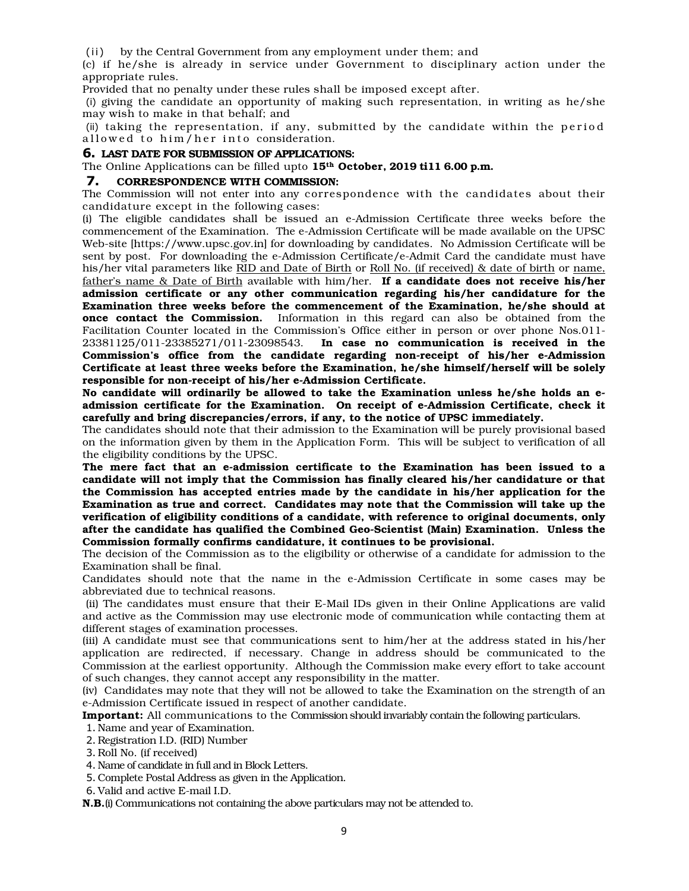(ii) by the Central Government from any employment under them; and

(c) if he/she is already in service under Government to disciplinary action under the appropriate rules.

Provided that no penalty under these rules shall be imposed except after.

(i) giving the candidate an opportunity of making such representation, in writing as he/she may wish to make in that behalf; and

(ii) taking the representation, if any, submitted by the candidate within the period allowed to him/her into consideration.

#### **6.** LAST DATE FOR SUBMISSION OF APPLICATIONS:

The Online Applications can be filled upto 15<sup>th</sup> October, 2019 ti11 6.00 p.m.

## **7.** CORRESPONDENCE WITH COMMISSION:

The Commission will not enter into any correspondence with the candidates about their candidature except in the following cases:

(i) The eligible candidates shall be issued an e-Admission Certificate three weeks before the commencement of the Examination. The e-Admission Certificate will be made available on the UPSC Web-site [https://www.upsc.gov.in] for downloading by candidates. No Admission Certificate will be sent by post. For downloading the e-Admission Certificate/e-Admit Card the candidate must have his/her vital parameters like RID and Date of Birth or Roll No. (if received) & date of birth or name, father's name  $\&$  Date of Birth available with him/her. If a candidate does not receive his/her admission certificate or any other communication regarding his/her candidature for the Examination three weeks before the commencement of the Examination, he/she should at once contact the Commission. Information in this regard can also be obtained from the Facilitation Counter located in the Commission's Office either in person or over phone Nos.011- 23381125/011-23385271/011-23098543. In case no communication is received in the Commission's office from the candidate regarding non-receipt of his/her e-Admission Certificate at least three weeks before the Examination, he/she himself/herself will be solely responsible for non-receipt of his/her e-Admission Certificate.

No candidate will ordinarily be allowed to take the Examination unless he/she holds an eadmission certificate for the Examination. On receipt of e-Admission Certificate, check it carefully and bring discrepancies/errors, if any, to the notice of UPSC immediately.

The candidates should note that their admission to the Examination will be purely provisional based on the information given by them in the Application Form. This will be subject to verification of all the eligibility conditions by the UPSC.

The mere fact that an e-admission certificate to the Examination has been issued to a candidate will not imply that the Commission has finally cleared his/her candidature or that the Commission has accepted entries made by the candidate in his/her application for the Examination as true and correct. Candidates may note that the Commission will take up the verification of eligibility conditions of a candidate, with reference to original documents, only after the candidate has qualified the Combined Geo-Scientist (Main) Examination. Unless the Commission formally confirms candidature, it continues to be provisional.

The decision of the Commission as to the eligibility or otherwise of a candidate for admission to the Examination shall be final.

Candidates should note that the name in the e-Admission Certificate in some cases may be abbreviated due to technical reasons.

 (ii) The candidates must ensure that their E-Mail IDs given in their Online Applications are valid and active as the Commission may use electronic mode of communication while contacting them at different stages of examination processes.

(iii) A candidate must see that communications sent to him/her at the address stated in his/her application are redirected, if necessary. Change in address should be communicated to the Commission at the earliest opportunity. Although the Commission make every effort to take account of such changes, they cannot accept any responsibility in the matter.

(iv) Candidates may note that they will not be allowed to take the Examination on the strength of an e-Admission Certificate issued in respect of another candidate.

Important: All communications to the Commission should invariably contain the following particulars.

1. Name and year of Examination.

2. Registration I.D. (RID) Number

3. Roll No. (if received)

4. Name of candidate in full and in Block Letters.

5. Complete Postal Address as given in the Application.

6. Valid and active E-mail I.D.

**N.B.**(i) Communications not containing the above particulars may not be attended to.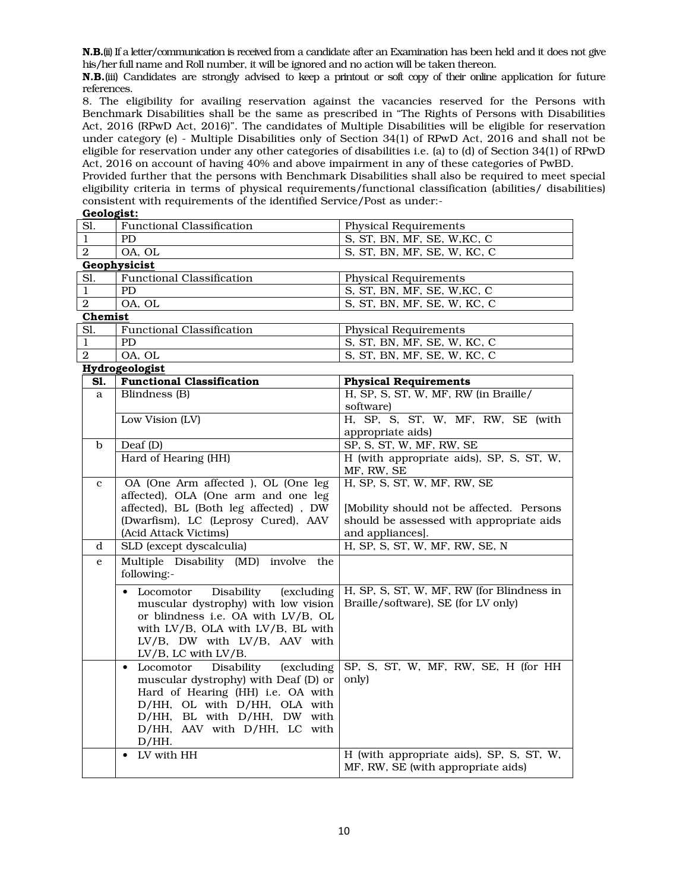N.B.(ii) If a letter/communication is received from a candidate after an Examination has been held and it does not give his/her full name and Roll number, it will be ignored and no action will be taken thereon.

N.B.(iii) Candidates are strongly advised to keep a printout or soft copy of their online application for future references.

8. The eligibility for availing reservation against the vacancies reserved for the Persons with Benchmark Disabilities shall be the same as prescribed in "The Rights of Persons with Disabilities Act, 2016 (RPwD Act, 2016)". The candidates of Multiple Disabilities will be eligible for reservation under category (e) - Multiple Disabilities only of Section 34(1) of RPwD Act, 2016 and shall not be eligible for reservation under any other categories of disabilities i.e. (a) to (d) of Section 34(1) of RPwD Act, 2016 on account of having 40% and above impairment in any of these categories of PwBD.

Provided further that the persons with Benchmark Disabilities shall also be required to meet special eligibility criteria in terms of physical requirements/functional classification (abilities/ disabilities) consistent with requirements of the identified Service/Post as under:-

# Geologist:

| Sl.            | <b>Functional Classification</b>                   | <b>Physical Requirements</b>              |  |
|----------------|----------------------------------------------------|-------------------------------------------|--|
| $\mathbf{1}$   | PD.                                                | S, ST, BN, MF, SE, W, KC, C               |  |
| $\overline{2}$ | OA, OL                                             | S, ST, BN, MF, SE, W, KC, C               |  |
|                | Geophysicist                                       |                                           |  |
| Sl.            | <b>Functional Classification</b>                   | <b>Physical Requirements</b>              |  |
| $\mathbf{1}$   | <b>PD</b>                                          | S, ST, BN, MF, SE, W, KC, C               |  |
| $\mathbf{2}$   | OA, OL                                             | S, ST, BN, MF, SE, W, KC, C               |  |
| Chemist        |                                                    |                                           |  |
| Sl.            | <b>Functional Classification</b>                   | <b>Physical Requirements</b>              |  |
| $\mathbf{1}$   | <b>PD</b>                                          | S, ST, BN, MF, SE, W, KC, C               |  |
| $\overline{2}$ | OA, OL                                             | S, ST, BN, MF, SE, W, KC, C               |  |
|                | Hydrogeologist                                     |                                           |  |
| SI.            | <b>Functional Classification</b>                   | <b>Physical Requirements</b>              |  |
| a              | Blindness (B)                                      | H, SP, S, ST, W, MF, RW (in Braille/      |  |
|                |                                                    | software)                                 |  |
|                | Low Vision (LV)                                    | H, SP, S, ST, W, MF, RW, SE (with         |  |
|                |                                                    | appropriate aids)                         |  |
| $\mathbf b$    | Deaf (D)                                           | SP, S, ST, W, MF, RW, SE                  |  |
|                | Hard of Hearing (HH)                               | H (with appropriate aids), SP, S, ST, W,  |  |
|                |                                                    | MF, RW, SE                                |  |
| $\mathbf{c}$   | OA (One Arm affected ), OL (One leg                | H, SP, S, ST, W, MF, RW, SE               |  |
|                | affected), OLA (One arm and one leg                |                                           |  |
|                | affected), BL (Both leg affected), DW              | [Mobility should not be affected. Persons |  |
|                | (Dwarfism), LC (Leprosy Cured), AAV                | should be assessed with appropriate aids  |  |
|                | (Acid Attack Victims)                              | and appliances].                          |  |
| d              | SLD (except dyscalculia)                           | H, SP, S, ST, W, MF, RW, SE, N            |  |
| e              | Multiple Disability (MD) involve the               |                                           |  |
|                | following:-                                        |                                           |  |
|                | Disability<br>Locomotor<br><i>(excluding)</i><br>٠ | H, SP, S, ST, W, MF, RW (for Blindness in |  |
|                | muscular dystrophy) with low vision                | Braille/software), SE (for LV only)       |  |
|                | or blindness i.e. OA with LV/B, OL                 |                                           |  |
|                | with LV/B, OLA with LV/B, BL with                  |                                           |  |
|                | LV/B, DW with LV/B, AAV with                       |                                           |  |
|                | LV/B, LC with LV/B.                                |                                           |  |
|                | Locomotor<br>Disability<br>(excluding<br>$\bullet$ | SP, S, ST, W, MF, RW, SE, H (for HH       |  |
|                | muscular dystrophy) with Deaf (D) or               | only)                                     |  |
|                | Hard of Hearing (HH) i.e. OA with                  |                                           |  |

• LV with HH  $\vert$  H (with appropriate aids), SP, S, ST, W,

MF, RW, SE (with appropriate aids)

D/HH, OL with D/HH, OLA with D/HH, BL with D/HH, DW with D/HH, AAV with D/HH, LC with

D/HH.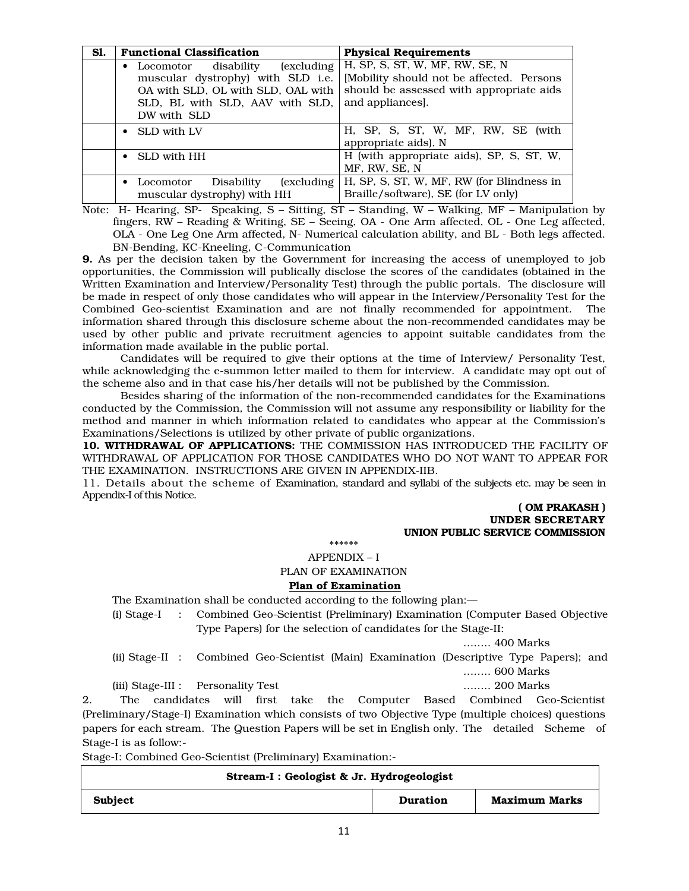| Sl. | <b>Functional Classification</b>                                                                                                                                 | <b>Physical Requirements</b>                                                                                                               |  |
|-----|------------------------------------------------------------------------------------------------------------------------------------------------------------------|--------------------------------------------------------------------------------------------------------------------------------------------|--|
|     | (excluding)<br>Locomotor disability<br>muscular dystrophy) with SLD i.e.<br>OA with SLD, OL with SLD, OAL with<br>SLD, BL with SLD, AAV with SLD,<br>DW with SLD | H, SP, S, ST, W, MF, RW, SE, N<br>[Mobility should not be affected. Persons<br>should be assessed with appropriate aids<br>and appliances. |  |
|     | SLD with LV                                                                                                                                                      | H, SP, S, ST, W, MF, RW, SE (with<br>appropriate aids), N                                                                                  |  |
|     | SLD with HH                                                                                                                                                      | H (with appropriate aids), SP, S, ST, W,<br>MF, RW, SE, N                                                                                  |  |
|     | <i>(excluding</i><br>Disability<br>Locomotor<br>muscular dystrophy) with HH                                                                                      | H, SP, S, ST, W, MF, RW (for Blindness in<br>Braille/software), SE (for LV only)                                                           |  |

Note: H- Hearing, SP- Speaking, S – Sitting, ST – Standing, W – Walking, MF – Manipulation by fingers, RW – Reading & Writing, SE – Seeing, OA - One Arm affected, OL - One Leg affected, OLA - One Leg One Arm affected, N- Numerical calculation ability, and BL - Both legs affected. BN-Bending, KC-Kneeling, C-Communication

9. As per the decision taken by the Government for increasing the access of unemployed to job opportunities, the Commission will publically disclose the scores of the candidates (obtained in the Written Examination and Interview/Personality Test) through the public portals. The disclosure will be made in respect of only those candidates who will appear in the Interview/Personality Test for the Combined Geo-scientist Examination and are not finally recommended for appointment. The information shared through this disclosure scheme about the non-recommended candidates may be used by other public and private recruitment agencies to appoint suitable candidates from the information made available in the public portal.

 Candidates will be required to give their options at the time of Interview/ Personality Test, while acknowledging the e-summon letter mailed to them for interview. A candidate may opt out of the scheme also and in that case his/her details will not be published by the Commission.

 Besides sharing of the information of the non-recommended candidates for the Examinations conducted by the Commission, the Commission will not assume any responsibility or liability for the method and manner in which information related to candidates who appear at the Commission's Examinations/Selections is utilized by other private of public organizations.

10. WITHDRAWAL OF APPLICATIONS: THE COMMISSION HAS INTRODUCED THE FACILITY OF WITHDRAWAL OF APPLICATION FOR THOSE CANDIDATES WHO DO NOT WANT TO APPEAR FOR THE EXAMINATION. INSTRUCTIONS ARE GIVEN IN APPENDIX-IIB.

11. Details about the scheme of Examination, standard and syllabi of the subjects etc. may be seen in Appendix-I of this Notice.

## ( OM PRAKASH ) UNDER SECRETARY UNION PUBLIC SERVICE COMMISSION

\*\*\*\*\*\*

APPENDIX – I

PLAN OF EXAMINATION

## Plan of Examination

The Examination shall be conducted according to the following plan:—

(i) Stage-I : Combined Geo-Scientist (Preliminary) Examination (Computer Based Objective Type Papers) for the selection of candidates for the Stage-II:

…….. 400 Marks

(ii) Stage-II : Combined Geo-Scientist (Main) Examination (Descriptive Type Papers); and …….. 600 Marks

(iii) Stage-III : Personality Test …….. 200 Marks

2. The candidates will first take the Computer Based Combined Geo-Scientist (Preliminary/Stage-I) Examination which consists of two Objective Type (multiple choices) questions papers for each stream. The Question Papers will be set in English only. The detailed Scheme of Stage-I is as follow:-

Stage-I: Combined Geo-Scientist (Preliminary) Examination:-

| Stream-I : Geologist & Jr. Hydrogeologist |          |                      |  |
|-------------------------------------------|----------|----------------------|--|
| Subject                                   | Duration | <b>Maximum Marks</b> |  |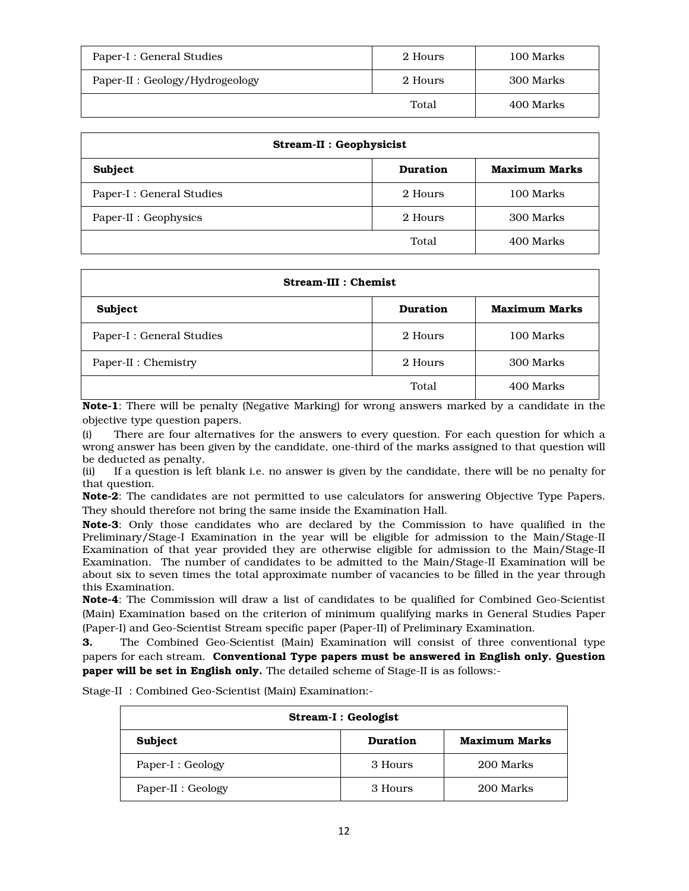| Paper-I : General Studies       | 2 Hours | 100 Marks |
|---------------------------------|---------|-----------|
| Paper-II : Geology/Hydrogeology | 2 Hours | 300 Marks |
|                                 | Total   | 400 Marks |

| Stream-II : Geophysicist  |                 |                      |  |
|---------------------------|-----------------|----------------------|--|
| Subject                   | <b>Duration</b> | <b>Maximum Marks</b> |  |
| Paper-I : General Studies | 2 Hours         | 100 Marks            |  |
| Paper-II : Geophysics     | 2 Hours         | 300 Marks            |  |
|                           | Total           | 400 Marks            |  |

| <b>Stream-III : Chemist</b> |                 |                      |  |
|-----------------------------|-----------------|----------------------|--|
| Subject                     | <b>Duration</b> | <b>Maximum Marks</b> |  |
| Paper-I : General Studies   | 2 Hours         | 100 Marks            |  |
| Paper-II : Chemistry        | 2 Hours         | 300 Marks            |  |
|                             | Total           | 400 Marks            |  |

Note-1: There will be penalty (Negative Marking) for wrong answers marked by a candidate in the objective type question papers.

(i) There are four alternatives for the answers to every question. For each question for which a wrong answer has been given by the candidate, one-third of the marks assigned to that question will be deducted as penalty.

(ii) If a question is left blank i.e. no answer is given by the candidate, there will be no penalty for that question.

Note-2: The candidates are not permitted to use calculators for answering Objective Type Papers. They should therefore not bring the same inside the Examination Hall.

Note-3: Only those candidates who are declared by the Commission to have qualified in the Preliminary/Stage-I Examination in the year will be eligible for admission to the Main/Stage-II Examination of that year provided they are otherwise eligible for admission to the Main/Stage-II Examination. The number of candidates to be admitted to the Main/Stage-II Examination will be about six to seven times the total approximate number of vacancies to be filled in the year through this Examination.

Note-4: The Commission will draw a list of candidates to be qualified for Combined Geo-Scientist (Main) Examination based on the criterion of minimum qualifying marks in General Studies Paper (Paper-I) and Geo-Scientist Stream specific paper (Paper-II) of Preliminary Examination.

3. The Combined Geo-Scientist (Main) Examination will consist of three conventional type papers for each stream. Conventional Type papers must be answered in English only. Question paper will be set in English only. The detailed scheme of Stage-II is as follows:-

Stage-II : Combined Geo-Scientist (Main) Examination:-

| Stream-I : Geologist |          |                      |  |
|----------------------|----------|----------------------|--|
| Subject              | Duration | <b>Maximum Marks</b> |  |
| Paper-I : Geology    | 3 Hours  | 200 Marks            |  |
| Paper-II : Geology   | 3 Hours  | 200 Marks            |  |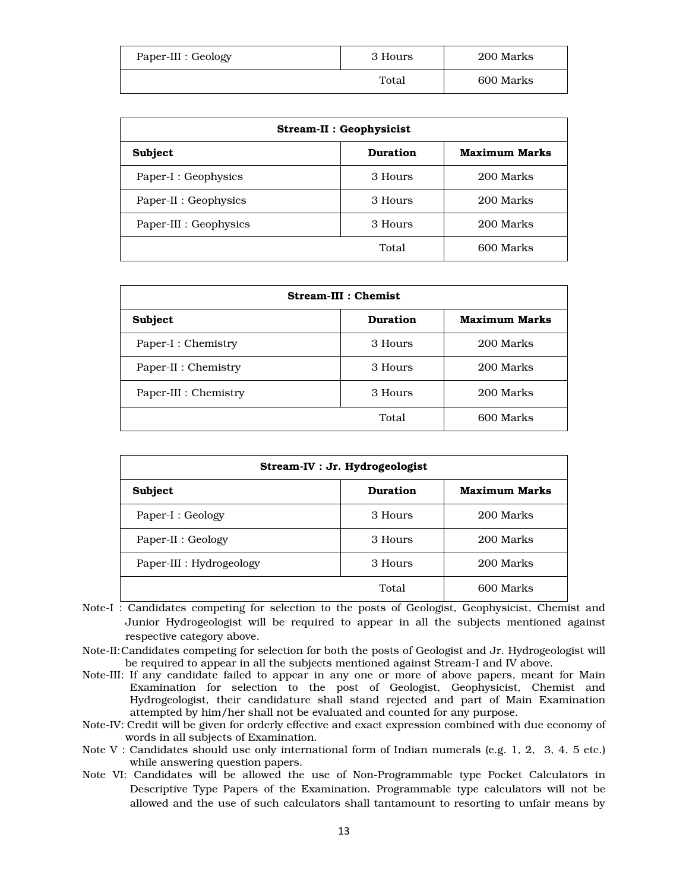| Paper-III : Geology | 3 Hours | 200 Marks |
|---------------------|---------|-----------|
|                     | Total   | 600 Marks |

| Stream-II : Geophysicist |          |                      |  |
|--------------------------|----------|----------------------|--|
| Subject                  | Duration | <b>Maximum Marks</b> |  |
| Paper-I : Geophysics     | 3 Hours  | 200 Marks            |  |
| Paper-II : Geophysics    | 3 Hours  | 200 Marks            |  |
| Paper-III : Geophysics   | 3 Hours  | 200 Marks            |  |
| 600 Marks<br>Total       |          |                      |  |

| <b>Stream-III : Chemist</b> |                 |                      |  |  |
|-----------------------------|-----------------|----------------------|--|--|
| Subject                     | <b>Duration</b> | <b>Maximum Marks</b> |  |  |
| Paper-I : Chemistry         | 3 Hours         | 200 Marks            |  |  |
| Paper-II : Chemistry        | 3 Hours         | 200 Marks            |  |  |
| Paper-III : Chemistry       | 3 Hours         | 200 Marks            |  |  |
|                             | Total           | 600 Marks            |  |  |

| Stream-IV : Jr. Hydrogeologist |          |                      |  |  |
|--------------------------------|----------|----------------------|--|--|
| Subject                        | Duration | <b>Maximum Marks</b> |  |  |
| Paper-I : Geology              | 3 Hours  | 200 Marks            |  |  |
| Paper-II : Geology             | 3 Hours  | 200 Marks            |  |  |
| Paper-III : Hydrogeology       | 3 Hours  | 200 Marks            |  |  |
|                                | Total    | 600 Marks            |  |  |

- Note-I : Candidates competing for selection to the posts of Geologist, Geophysicist, Chemist and Junior Hydrogeologist will be required to appear in all the subjects mentioned against respective category above.
- Note-II:Candidates competing for selection for both the posts of Geologist and Jr. Hydrogeologist will be required to appear in all the subjects mentioned against Stream-I and IV above.
- Note-III: If any candidate failed to appear in any one or more of above papers, meant for Main Examination for selection to the post of Geologist, Geophysicist, Chemist and Hydrogeologist, their candidature shall stand rejected and part of Main Examination attempted by him/her shall not be evaluated and counted for any purpose.
- Note-IV: Credit will be given for orderly effective and exact expression combined with due economy of words in all subjects of Examination.
- Note V : Candidates should use only international form of Indian numerals (e.g. 1, 2, 3, 4, 5 etc.) while answering question papers.
- Note VI: Candidates will be allowed the use of Non-Programmable type Pocket Calculators in Descriptive Type Papers of the Examination. Programmable type calculators will not be allowed and the use of such calculators shall tantamount to resorting to unfair means by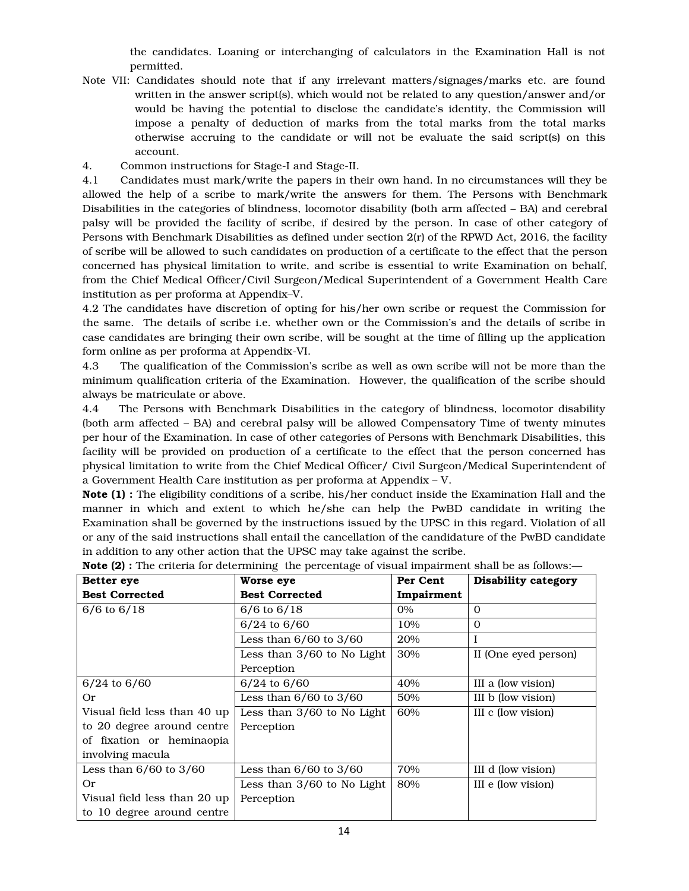the candidates. Loaning or interchanging of calculators in the Examination Hall is not permitted.

- Note VII: Candidates should note that if any irrelevant matters/signages/marks etc. are found written in the answer script(s), which would not be related to any question/answer and/or would be having the potential to disclose the candidate's identity, the Commission will impose a penalty of deduction of marks from the total marks from the total marks otherwise accruing to the candidate or will not be evaluate the said script(s) on this account.
- 4. Common instructions for Stage-I and Stage-II.

4.1 Candidates must mark/write the papers in their own hand. In no circumstances will they be allowed the help of a scribe to mark/write the answers for them. The Persons with Benchmark Disabilities in the categories of blindness, locomotor disability (both arm affected – BA) and cerebral palsy will be provided the facility of scribe, if desired by the person. In case of other category of Persons with Benchmark Disabilities as defined under section 2(r) of the RPWD Act, 2016, the facility of scribe will be allowed to such candidates on production of a certificate to the effect that the person concerned has physical limitation to write, and scribe is essential to write Examination on behalf, from the Chief Medical Officer/Civil Surgeon/Medical Superintendent of a Government Health Care institution as per proforma at Appendix–V.

4.2 The candidates have discretion of opting for his/her own scribe or request the Commission for the same. The details of scribe i.e. whether own or the Commission's and the details of scribe in case candidates are bringing their own scribe, will be sought at the time of filling up the application form online as per proforma at Appendix-VI.

4.3 The qualification of the Commission's scribe as well as own scribe will not be more than the minimum qualification criteria of the Examination. However, the qualification of the scribe should always be matriculate or above.

4.4 The Persons with Benchmark Disabilities in the category of blindness, locomotor disability (both arm affected – BA) and cerebral palsy will be allowed Compensatory Time of twenty minutes per hour of the Examination. In case of other categories of Persons with Benchmark Disabilities, this facility will be provided on production of a certificate to the effect that the person concerned has physical limitation to write from the Chief Medical Officer/ Civil Surgeon/Medical Superintendent of a Government Health Care institution as per proforma at Appendix – V.

Note (1) : The eligibility conditions of a scribe, his/her conduct inside the Examination Hall and the manner in which and extent to which he/she can help the PwBD candidate in writing the Examination shall be governed by the instructions issued by the UPSC in this regard. Violation of all or any of the said instructions shall entail the cancellation of the candidature of the PwBD candidate in addition to any other action that the UPSC may take against the scribe.

| Better eye                   | Worse eye                  | Per Cent   | Disability category  |
|------------------------------|----------------------------|------------|----------------------|
| <b>Best Corrected</b>        | <b>Best Corrected</b>      | Impairment |                      |
| $6/6$ to $6/18$              | $6/6$ to $6/18$            | 0%         | $\Omega$             |
|                              | $6/24$ to $6/60$           | 10%        | $\Omega$             |
|                              | Less than $6/60$ to $3/60$ | 20%        |                      |
|                              | Less than 3/60 to No Light | 30%        | II (One eyed person) |
|                              | Perception                 |            |                      |
| $6/24$ to $6/60$             | $6/24$ to $6/60$           | 40%        | III a (low vision)   |
| 0r                           | Less than $6/60$ to $3/60$ | 50%        | III b (low vision)   |
| Visual field less than 40 up | Less than 3/60 to No Light | 60%        | III c (low vision)   |
| to 20 degree around centre   | Perception                 |            |                      |
| of fixation or heminaopia    |                            |            |                      |
| involving macula             |                            |            |                      |
| Less than $6/60$ to $3/60$   | Less than $6/60$ to $3/60$ | 70%        | III d (low vision)   |
| 0r                           | Less than 3/60 to No Light | 80%        | III e (low vision)   |
| Visual field less than 20 up | Perception                 |            |                      |
| to 10 degree around centre   |                            |            |                      |

**Note (2) :** The criteria for determining the percentage of visual impairment shall be as follows:—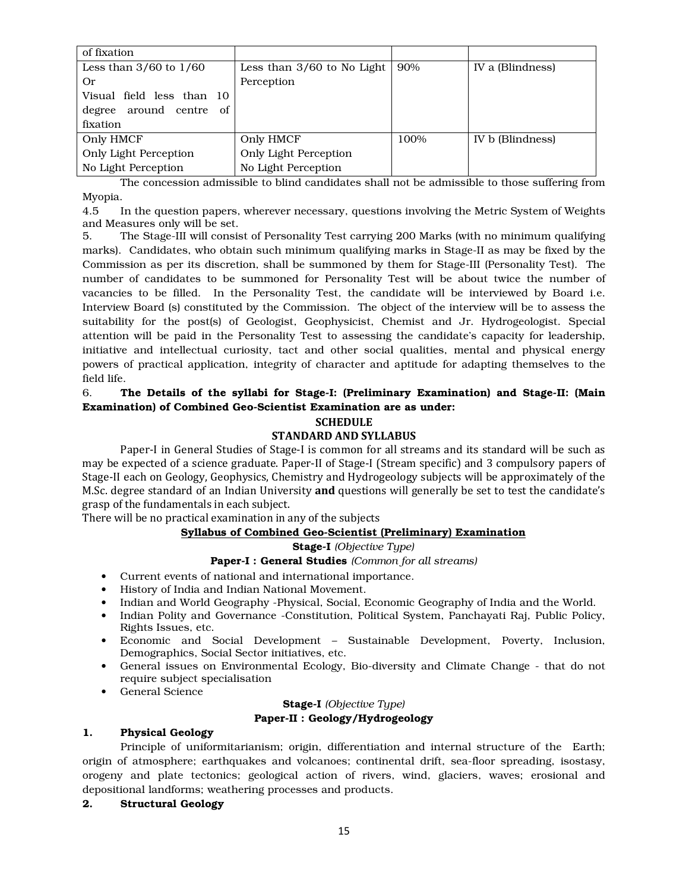| of fixation                   |                            |      |                  |
|-------------------------------|----------------------------|------|------------------|
| Less than $3/60$ to $1/60$    | Less than 3/60 to No Light | 90%  | IV a (Blindness) |
| 0r                            | Perception                 |      |                  |
| Visual field less than 10     |                            |      |                  |
| around centre<br>degree<br>of |                            |      |                  |
| fixation                      |                            |      |                  |
| Only HMCF                     | Only HMCF                  | 100% | IV b (Blindness) |
| Only Light Perception         | Only Light Perception      |      |                  |
| No Light Perception           | No Light Perception        |      |                  |

 The concession admissible to blind candidates shall not be admissible to those suffering from Myopia.

4.5 In the question papers, wherever necessary, questions involving the Metric System of Weights and Measures only will be set.

5. The Stage-III will consist of Personality Test carrying 200 Marks (with no minimum qualifying marks). Candidates, who obtain such minimum qualifying marks in Stage-II as may be fixed by the Commission as per its discretion, shall be summoned by them for Stage-III (Personality Test). The number of candidates to be summoned for Personality Test will be about twice the number of vacancies to be filled. In the Personality Test, the candidate will be interviewed by Board i.e. Interview Board (s) constituted by the Commission. The object of the interview will be to assess the suitability for the post(s) of Geologist, Geophysicist, Chemist and Jr. Hydrogeologist. Special attention will be paid in the Personality Test to assessing the candidate's capacity for leadership, initiative and intellectual curiosity, tact and other social qualities, mental and physical energy powers of practical application, integrity of character and aptitude for adapting themselves to the field life.

# 6. The Details of the syllabi for Stage-I: (Preliminary Examination) and Stage-II: (Main Examination) of Combined Geo-Scientist Examination are as under:

### **SCHEDULE**

# **STANDARD AND SYLLABUS**

Paper-I in General Studies of Stage-I is common for all streams and its standard will be such as may be expected of a science graduate. Paper-II of Stage-I (Stream specific) and 3 compulsory papers of Stage-II each on Geology, Geophysics, Chemistry and Hydrogeology subjects will be approximately of the M.Sc. degree standard of an Indian University **and** questions will generally be set to test the candidate's grasp of the fundamentals in each subject.

There will be no practical examination in any of the subjects

# Syllabus of Combined Geo-Scientist (Preliminary) Examination

Stage-I *(Objective Type)*

# Paper-I : General Studies *(Common for all streams)*

- Current events of national and international importance.
- History of India and Indian National Movement.
- Indian and World Geography -Physical, Social, Economic Geography of India and the World.
- Indian Polity and Governance -Constitution, Political System, Panchayati Raj, Public Policy, Rights Issues, etc.
- Economic and Social Development Sustainable Development, Poverty, Inclusion, Demographics, Social Sector initiatives, etc.
- General issues on Environmental Ecology, Bio-diversity and Climate Change that do not require subject specialisation
- General Science

# Stage-I *(Objective Type)* Paper-II : Geology/Hydrogeology

# 1. Physical Geology

 Principle of uniformitarianism; origin, differentiation and internal structure of the Earth; origin of atmosphere; earthquakes and volcanoes; continental drift, sea-floor spreading, isostasy, orogeny and plate tectonics; geological action of rivers, wind, glaciers, waves; erosional and depositional landforms; weathering processes and products.

# 2. Structural Geology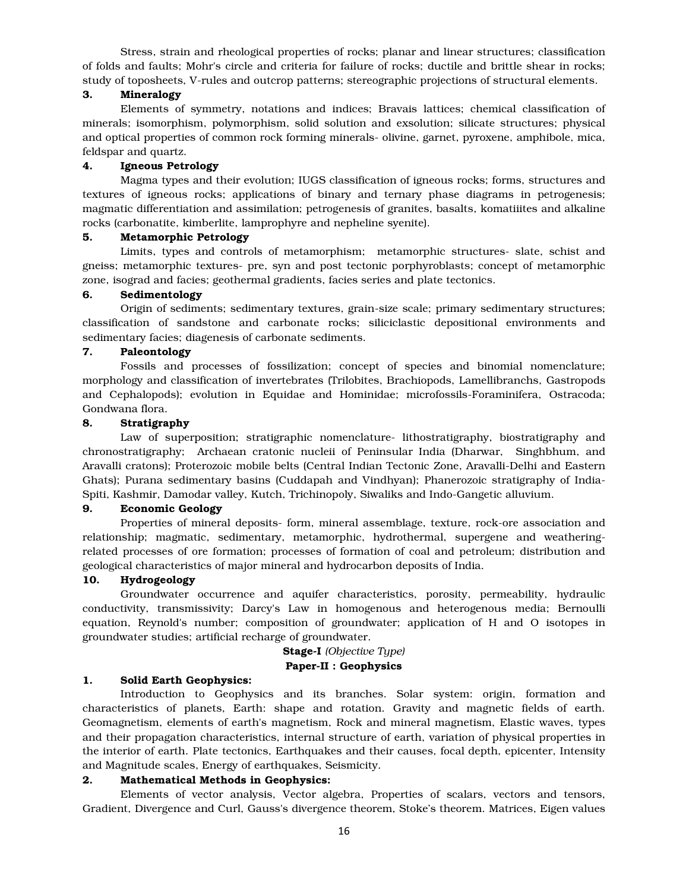Stress, strain and rheological properties of rocks; planar and linear structures; classification of folds and faults; Mohr's circle and criteria for failure of rocks; ductile and brittle shear in rocks; study of toposheets, V-rules and outcrop patterns; stereographic projections of structural elements.

## 3. Mineralogy

 Elements of symmetry, notations and indices; Bravais lattices; chemical classification of minerals; isomorphism, polymorphism, solid solution and exsolution; silicate structures; physical and optical properties of common rock forming minerals- olivine, garnet, pyroxene, amphibole, mica, feldspar and quartz.

## 4. Igneous Petrology

 Magma types and their evolution; IUGS classification of igneous rocks; forms, structures and textures of igneous rocks; applications of binary and ternary phase diagrams in petrogenesis; magmatic differentiation and assimilation; petrogenesis of granites, basalts, komatiiites and alkaline rocks (carbonatite, kimberlite, lamprophyre and nepheline syenite).

#### 5. Metamorphic Petrology

 Limits, types and controls of metamorphism; metamorphic structures- slate, schist and gneiss; metamorphic textures- pre, syn and post tectonic porphyroblasts; concept of metamorphic zone, isograd and facies; geothermal gradients, facies series and plate tectonics.

## 6. Sedimentology

 Origin of sediments; sedimentary textures, grain-size scale; primary sedimentary structures; classification of sandstone and carbonate rocks; siliciclastic depositional environments and sedimentary facies; diagenesis of carbonate sediments.

## 7. Paleontology

 Fossils and processes of fossilization; concept of species and binomial nomenclature; morphology and classification of invertebrates (Trilobites, Brachiopods, Lamellibranchs, Gastropods and Cephalopods); evolution in Equidae and Hominidae; microfossils-Foraminifera, Ostracoda; Gondwana flora.

# 8. Stratigraphy

 Law of superposition; stratigraphic nomenclature- lithostratigraphy, biostratigraphy and chronostratigraphy; Archaean cratonic nucleii of Peninsular India (Dharwar, Singhbhum, and Aravalli cratons); Proterozoic mobile belts (Central Indian Tectonic Zone, Aravalli-Delhi and Eastern Ghats); Purana sedimentary basins (Cuddapah and Vindhyan); Phanerozoic stratigraphy of India-Spiti, Kashmir, Damodar valley, Kutch, Trichinopoly, Siwaliks and Indo-Gangetic alluvium.

#### 9. Economic Geology

 Properties of mineral deposits- form, mineral assemblage, texture, rock-ore association and relationship; magmatic, sedimentary, metamorphic, hydrothermal, supergene and weatheringrelated processes of ore formation; processes of formation of coal and petroleum; distribution and geological characteristics of major mineral and hydrocarbon deposits of India.

### 10. Hydrogeology

 Groundwater occurrence and aquifer characteristics, porosity, permeability, hydraulic conductivity, transmissivity; Darcy's Law in homogenous and heterogenous media; Bernoulli equation, Reynold's number; composition of groundwater; application of H and O isotopes in groundwater studies; artificial recharge of groundwater.

# Stage-I *(Objective Type)* Paper-II : Geophysics

#### 1. Solid Earth Geophysics:

 Introduction to Geophysics and its branches. Solar system: origin, formation and characteristics of planets, Earth: shape and rotation. Gravity and magnetic fields of earth. Geomagnetism, elements of earth's magnetism, Rock and mineral magnetism, Elastic waves, types and their propagation characteristics, internal structure of earth, variation of physical properties in the interior of earth. Plate tectonics, Earthquakes and their causes, focal depth, epicenter, Intensity and Magnitude scales, Energy of earthquakes, Seismicity.

## 2. Mathematical Methods in Geophysics:

 Elements of vector analysis, Vector algebra, Properties of scalars, vectors and tensors, Gradient, Divergence and Curl, Gauss's divergence theorem, Stoke's theorem. Matrices, Eigen values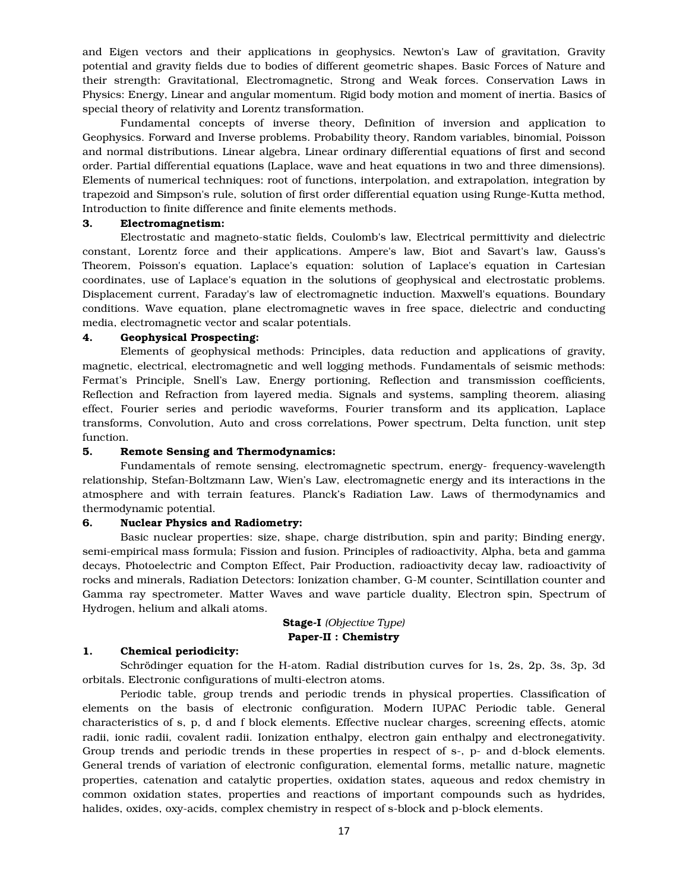and Eigen vectors and their applications in geophysics. Newton's Law of gravitation, Gravity potential and gravity fields due to bodies of different geometric shapes. Basic Forces of Nature and their strength: Gravitational, Electromagnetic, Strong and Weak forces. Conservation Laws in Physics: Energy, Linear and angular momentum. Rigid body motion and moment of inertia. Basics of special theory of relativity and Lorentz transformation.

 Fundamental concepts of inverse theory, Definition of inversion and application to Geophysics. Forward and Inverse problems. Probability theory, Random variables, binomial, Poisson and normal distributions. Linear algebra, Linear ordinary differential equations of first and second order. Partial differential equations (Laplace, wave and heat equations in two and three dimensions). Elements of numerical techniques: root of functions, interpolation, and extrapolation, integration by trapezoid and Simpson's rule, solution of first order differential equation using Runge-Kutta method, Introduction to finite difference and finite elements methods.

# 3. Electromagnetism:

 Electrostatic and magneto-static fields, Coulomb's law, Electrical permittivity and dielectric constant, Lorentz force and their applications. Ampere's law, Biot and Savart's law, Gauss's Theorem, Poisson's equation. Laplace's equation: solution of Laplace's equation in Cartesian coordinates, use of Laplace's equation in the solutions of geophysical and electrostatic problems. Displacement current, Faraday's law of electromagnetic induction. Maxwell's equations. Boundary conditions. Wave equation, plane electromagnetic waves in free space, dielectric and conducting media, electromagnetic vector and scalar potentials.

## 4. Geophysical Prospecting:

 Elements of geophysical methods: Principles, data reduction and applications of gravity, magnetic, electrical, electromagnetic and well logging methods. Fundamentals of seismic methods: Fermat's Principle, Snell's Law, Energy portioning, Reflection and transmission coefficients, Reflection and Refraction from layered media. Signals and systems, sampling theorem, aliasing effect, Fourier series and periodic waveforms, Fourier transform and its application, Laplace transforms, Convolution, Auto and cross correlations, Power spectrum, Delta function, unit step function.

## 5. Remote Sensing and Thermodynamics:

 Fundamentals of remote sensing, electromagnetic spectrum, energy- frequency-wavelength relationship, Stefan-Boltzmann Law, Wien's Law, electromagnetic energy and its interactions in the atmosphere and with terrain features. Planck's Radiation Law. Laws of thermodynamics and thermodynamic potential.

#### 6. Nuclear Physics and Radiometry:

 Basic nuclear properties: size, shape, charge distribution, spin and parity; Binding energy, semi-empirical mass formula; Fission and fusion. Principles of radioactivity, Alpha, beta and gamma decays, Photoelectric and Compton Effect, Pair Production, radioactivity decay law, radioactivity of rocks and minerals, Radiation Detectors: Ionization chamber, G-M counter, Scintillation counter and Gamma ray spectrometer. Matter Waves and wave particle duality, Electron spin, Spectrum of Hydrogen, helium and alkali atoms.

## Stage-I *(Objective Type)* Paper-II : Chemistry

### 1. Chemical periodicity:

 Schrödinger equation for the H-atom. Radial distribution curves for 1s, 2s, 2p, 3s, 3p, 3d orbitals. Electronic configurations of multi-electron atoms.

 Periodic table, group trends and periodic trends in physical properties. Classification of elements on the basis of electronic configuration. Modern IUPAC Periodic table. General characteristics of s, p, d and f block elements. Effective nuclear charges, screening effects, atomic radii, ionic radii, covalent radii. Ionization enthalpy, electron gain enthalpy and electronegativity. Group trends and periodic trends in these properties in respect of s-, p- and d-block elements. General trends of variation of electronic configuration, elemental forms, metallic nature, magnetic properties, catenation and catalytic properties, oxidation states, aqueous and redox chemistry in common oxidation states, properties and reactions of important compounds such as hydrides, halides, oxides, oxy-acids, complex chemistry in respect of s-block and p-block elements.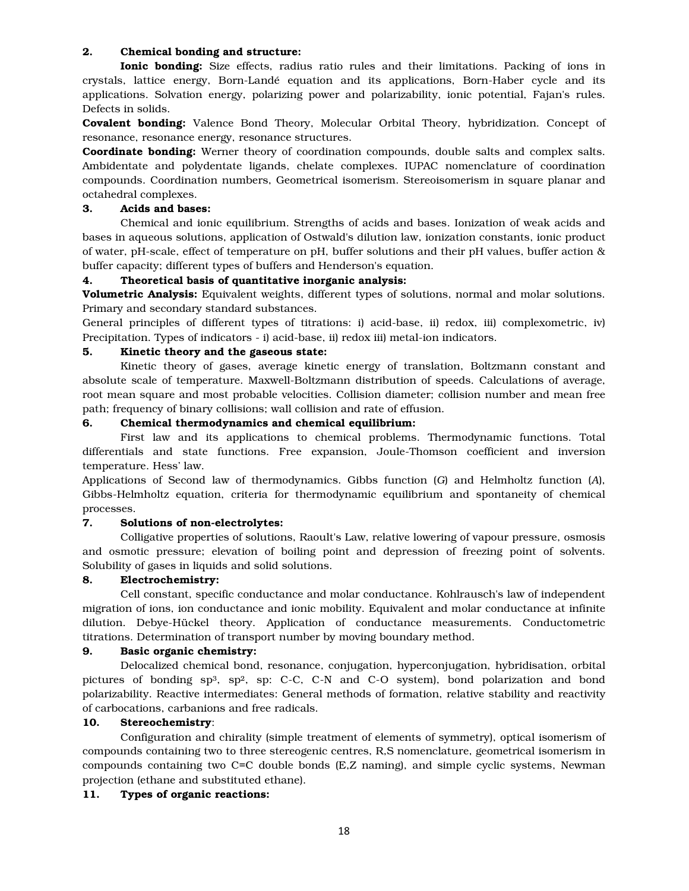# 2. Chemical bonding and structure:

Ionic bonding: Size effects, radius ratio rules and their limitations. Packing of ions in crystals, lattice energy, Born-Landé equation and its applications, Born-Haber cycle and its applications. Solvation energy, polarizing power and polarizability, ionic potential, Fajan's rules. Defects in solids.

Covalent bonding: Valence Bond Theory, Molecular Orbital Theory, hybridization. Concept of resonance, resonance energy, resonance structures.

**Coordinate bonding:** Werner theory of coordination compounds, double salts and complex salts. Ambidentate and polydentate ligands, chelate complexes. IUPAC nomenclature of coordination compounds. Coordination numbers, Geometrical isomerism. Stereoisomerism in square planar and octahedral complexes.

# 3. Acids and bases:

 Chemical and ionic equilibrium. Strengths of acids and bases. Ionization of weak acids and bases in aqueous solutions, application of Ostwald's dilution law, ionization constants, ionic product of water, pH-scale, effect of temperature on pH, buffer solutions and their pH values, buffer action & buffer capacity; different types of buffers and Henderson's equation.

# 4. Theoretical basis of quantitative inorganic analysis:

Volumetric Analysis: Equivalent weights, different types of solutions, normal and molar solutions. Primary and secondary standard substances.

General principles of different types of titrations: i) acid-base, ii) redox, iii) complexometric, iv) Precipitation. Types of indicators - i) acid-base, ii) redox iii) metal-ion indicators.

# 5. Kinetic theory and the gaseous state:

 Kinetic theory of gases, average kinetic energy of translation, Boltzmann constant and absolute scale of temperature. Maxwell-Boltzmann distribution of speeds. Calculations of average, root mean square and most probable velocities. Collision diameter; collision number and mean free path; frequency of binary collisions; wall collision and rate of effusion.

# 6. Chemical thermodynamics and chemical equilibrium:

 First law and its applications to chemical problems. Thermodynamic functions. Total differentials and state functions. Free expansion, Joule-Thomson coefficient and inversion temperature. Hess' law.

Applications of Second law of thermodynamics. Gibbs function (*G*) and Helmholtz function (*A*), Gibbs-Helmholtz equation, criteria for thermodynamic equilibrium and spontaneity of chemical processes.

# 7. Solutions of non-electrolytes:

 Colligative properties of solutions, Raoult's Law, relative lowering of vapour pressure, osmosis and osmotic pressure; elevation of boiling point and depression of freezing point of solvents. Solubility of gases in liquids and solid solutions.

# 8. Electrochemistry:

 Cell constant, specific conductance and molar conductance. Kohlrausch's law of independent migration of ions, ion conductance and ionic mobility. Equivalent and molar conductance at infinite dilution. Debye-Hückel theory. Application of conductance measurements. Conductometric titrations. Determination of transport number by moving boundary method.

# 9. Basic organic chemistry:

 Delocalized chemical bond, resonance, conjugation, hyperconjugation, hybridisation, orbital pictures of bonding sp<sup>3</sup>, sp<sup>2</sup>, sp: C-C, C-N and C-O system), bond polarization and bond polarizability. Reactive intermediates: General methods of formation, relative stability and reactivity of carbocations, carbanions and free radicals.

# 10. Stereochemistry:

 Configuration and chirality (simple treatment of elements of symmetry), optical isomerism of compounds containing two to three stereogenic centres, R,S nomenclature, geometrical isomerism in compounds containing two C=C double bonds (E,Z naming), and simple cyclic systems, Newman projection (ethane and substituted ethane).

# 11. Types of organic reactions: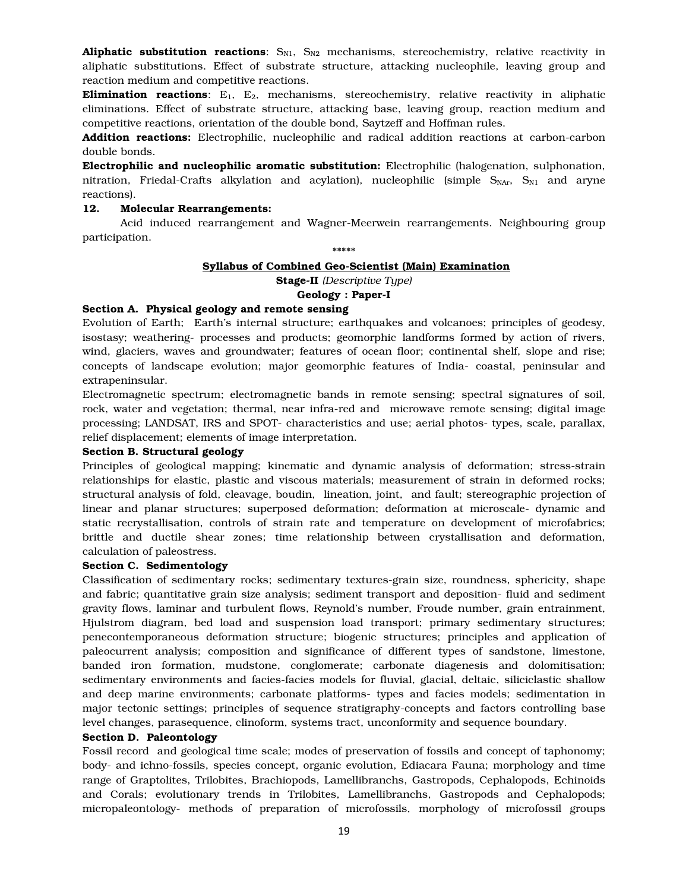**Aliphatic substitution reactions**:  $S_{N1}$ ,  $S_{N2}$  mechanisms, stereochemistry, relative reactivity in aliphatic substitutions. Effect of substrate structure, attacking nucleophile, leaving group and reaction medium and competitive reactions.

**Elimination reactions**:  $E_1$ ,  $E_2$ , mechanisms, stereochemistry, relative reactivity in aliphatic eliminations. Effect of substrate structure, attacking base, leaving group, reaction medium and competitive reactions, orientation of the double bond, Saytzeff and Hoffman rules.

Addition reactions: Electrophilic, nucleophilic and radical addition reactions at carbon-carbon double bonds.

Electrophilic and nucleophilic aromatic substitution: Electrophilic (halogenation, sulphonation, nitration, Friedal-Crafts alkylation and acylation), nucleophilic (simple  $S_{NAT}$ ,  $S_{N1}$  and aryne reactions).

## 12. Molecular Rearrangements:

 Acid induced rearrangement and Wagner-Meerwein rearrangements. Neighbouring group participation.

\*\*\*\*\*

# Syllabus of Combined Geo-Scientist (Main) Examination

Stage-II *(Descriptive Type)* 

## Geology : Paper-I

## Section A. Physical geology and remote sensing

Evolution of Earth; Earth's internal structure; earthquakes and volcanoes; principles of geodesy, isostasy; weathering- processes and products; geomorphic landforms formed by action of rivers, wind, glaciers, waves and groundwater; features of ocean floor; continental shelf, slope and rise; concepts of landscape evolution; major geomorphic features of India- coastal, peninsular and extrapeninsular.

Electromagnetic spectrum; electromagnetic bands in remote sensing; spectral signatures of soil, rock, water and vegetation; thermal, near infra-red and microwave remote sensing; digital image processing; LANDSAT, IRS and SPOT- characteristics and use; aerial photos- types, scale, parallax, relief displacement; elements of image interpretation.

## Section B. Structural geology

Principles of geological mapping; kinematic and dynamic analysis of deformation; stress-strain relationships for elastic, plastic and viscous materials; measurement of strain in deformed rocks; structural analysis of fold, cleavage, boudin, lineation, joint, and fault; stereographic projection of linear and planar structures; superposed deformation; deformation at microscale- dynamic and static recrystallisation, controls of strain rate and temperature on development of microfabrics; brittle and ductile shear zones; time relationship between crystallisation and deformation, calculation of paleostress.

#### Section C. Sedimentology

Classification of sedimentary rocks; sedimentary textures-grain size, roundness, sphericity, shape and fabric; quantitative grain size analysis; sediment transport and deposition- fluid and sediment gravity flows, laminar and turbulent flows, Reynold's number, Froude number, grain entrainment, Hjulstrom diagram, bed load and suspension load transport; primary sedimentary structures; penecontemporaneous deformation structure; biogenic structures; principles and application of paleocurrent analysis; composition and significance of different types of sandstone, limestone, banded iron formation, mudstone, conglomerate; carbonate diagenesis and dolomitisation; sedimentary environments and facies-facies models for fluvial, glacial, deltaic, siliciclastic shallow and deep marine environments; carbonate platforms- types and facies models; sedimentation in major tectonic settings; principles of sequence stratigraphy-concepts and factors controlling base level changes, parasequence, clinoform, systems tract, unconformity and sequence boundary.

#### Section D. Paleontology

Fossil record and geological time scale; modes of preservation of fossils and concept of taphonomy; body- and ichno-fossils, species concept, organic evolution, Ediacara Fauna; morphology and time range of Graptolites, Trilobites, Brachiopods, Lamellibranchs, Gastropods, Cephalopods, Echinoids and Corals; evolutionary trends in Trilobites, Lamellibranchs, Gastropods and Cephalopods; micropaleontology- methods of preparation of microfossils, morphology of microfossil groups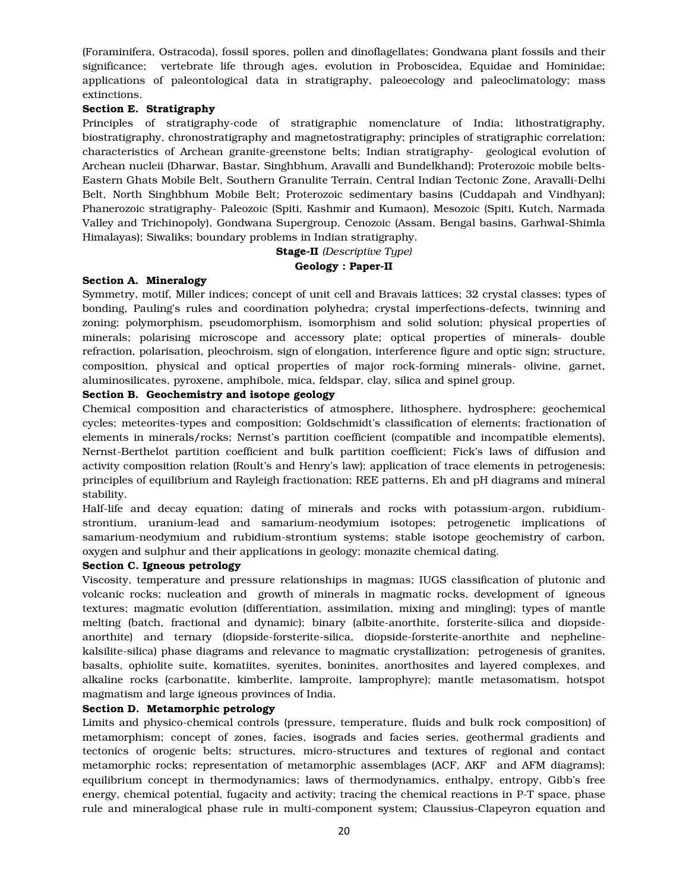(Foraminifera, Ostracoda), fossil spores, pollen and dinoflagellates; Gondwana plant fossils and their significance; vertebrate life through ages, evolution in Proboscidea, Equidae and Hominidae; applications of paleontological data in stratigraphy, paleoecology and paleoclimatology; mass extinctions.

## Section E. Stratigraphy

Principles of stratigraphy-code of stratigraphic nomenclature of India; lithostratigraphy, biostratigraphy, chronostratigraphy and magnetostratigraphy; principles of stratigraphic correlation; characteristics of Archean granite-greenstone belts; Indian stratigraphy- geological evolution of Archean nucleii (Dharwar, Bastar, Singhbhum, Aravalli and Bundelkhand); Proterozoic mobile belts-Eastern Ghats Mobile Belt, Southern Granulite Terrain, Central Indian Tectonic Zone, Aravalli-Delhi Belt, North Singhbhum Mobile Belt; Proterozoic sedimentary basins (Cuddapah and Vindhyan); Phanerozoic stratigraphy- Paleozoic (Spiti, Kashmir and Kumaon), Mesozoic (Spiti, Kutch, Narmada Valley and Trichinopoly), Gondwana Supergroup, Cenozoic (Assam, Bengal basins, Garhwal-Shimla Himalayas); Siwaliks; boundary problems in Indian stratigraphy.

> Stage-II *(Descriptive Type)* Geology : Paper-II

## Section A. Mineralogy

Symmetry, motif, Miller indices; concept of unit cell and Bravais lattices; 32 crystal classes; types of bonding, Pauling's rules and coordination polyhedra; crystal imperfections-defects, twinning and zoning; polymorphism, pseudomorphism, isomorphism and solid solution; physical properties of minerals; polarising microscope and accessory plate; optical properties of minerals- double refraction, polarisation, pleochroism, sign of elongation, interference figure and optic sign; structure, composition, physical and optical properties of major rock-forming minerals- olivine, garnet, aluminosilicates, pyroxene, amphibole, mica, feldspar, clay, silica and spinel group.

## Section B. Geochemistry and isotope geology

Chemical composition and characteristics of atmosphere, lithosphere, hydrosphere; geochemical cycles; meteorites-types and composition; Goldschmidt's classification of elements; fractionation of elements in minerals/rocks; Nernst's partition coefficient (compatible and incompatible elements), Nernst-Berthelot partition coefficient and bulk partition coefficient; Fick's laws of diffusion and activity composition relation (Roult's and Henry's law); application of trace elements in petrogenesis; principles of equilibrium and Rayleigh fractionation; REE patterns, Eh and pH diagrams and mineral stability.

Half-life and decay equation; dating of minerals and rocks with potassium-argon, rubidiumstrontium, uranium-lead and samarium-neodymium isotopes; petrogenetic implications of samarium-neodymium and rubidium-strontium systems; stable isotope geochemistry of carbon, oxygen and sulphur and their applications in geology; monazite chemical dating.

#### Section C. Igneous petrology

Viscosity, temperature and pressure relationships in magmas; IUGS classification of plutonic and volcanic rocks; nucleation and growth of minerals in magmatic rocks, development of igneous textures; magmatic evolution (differentiation, assimilation, mixing and mingling); types of mantle melting (batch, fractional and dynamic); binary (albite-anorthite, forsterite-silica and diopsideanorthite) and ternary (diopside-forsterite-silica, diopside-forsterite-anorthite and nephelinekalsilite-silica) phase diagrams and relevance to magmatic crystallization; petrogenesis of granites, basalts, ophiolite suite, komatiites, syenites, boninites, anorthosites and layered complexes, and alkaline rocks (carbonatite, kimberlite, lamproite, lamprophyre); mantle metasomatism, hotspot magmatism and large igneous provinces of India.

#### Section D. Metamorphic petrology

Limits and physico-chemical controls (pressure, temperature, fluids and bulk rock composition) of metamorphism; concept of zones, facies, isograds and facies series, geothermal gradients and tectonics of orogenic belts; structures, micro-structures and textures of regional and contact metamorphic rocks; representation of metamorphic assemblages (ACF, AKF and AFM diagrams); equilibrium concept in thermodynamics; laws of thermodynamics, enthalpy, entropy, Gibb's free energy, chemical potential, fugacity and activity; tracing the chemical reactions in P-T space, phase rule and mineralogical phase rule in multi-component system; Claussius-Clapeyron equation and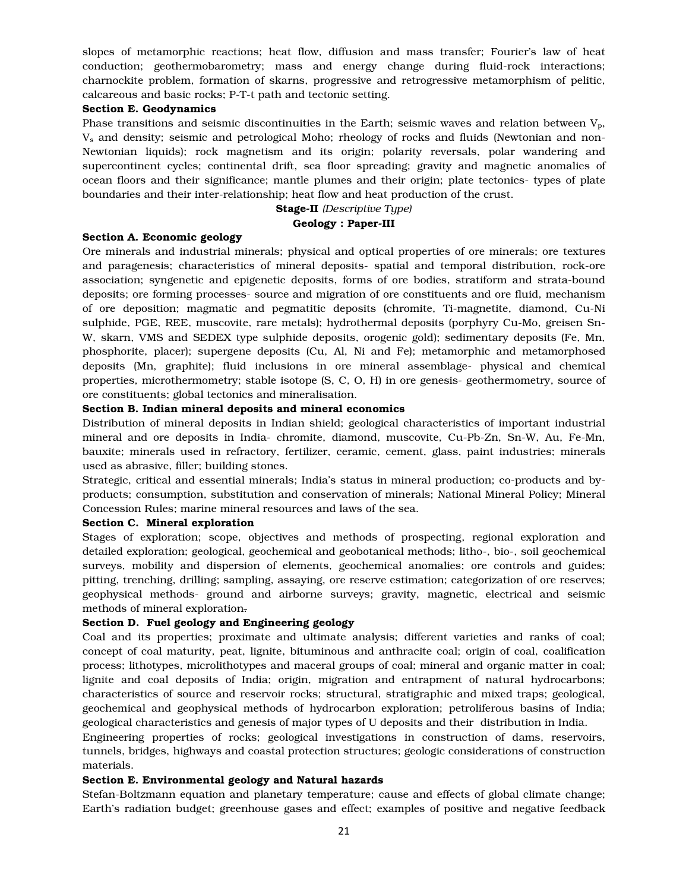slopes of metamorphic reactions; heat flow, diffusion and mass transfer; Fourier's law of heat conduction; geothermobarometry; mass and energy change during fluid-rock interactions; charnockite problem, formation of skarns, progressive and retrogressive metamorphism of pelitic, calcareous and basic rocks; P-T-t path and tectonic setting.

#### Section E. Geodynamics

Phase transitions and seismic discontinuities in the Earth; seismic waves and relation between  $V_p$ ,  $V_s$  and density; seismic and petrological Moho; rheology of rocks and fluids (Newtonian and non-Newtonian liquids); rock magnetism and its origin; polarity reversals, polar wandering and supercontinent cycles; continental drift, sea floor spreading; gravity and magnetic anomalies of ocean floors and their significance; mantle plumes and their origin; plate tectonics- types of plate boundaries and their inter-relationship; heat flow and heat production of the crust.

## Stage-II *(Descriptive Type)* Geology : Paper-III

#### Section A. Economic geology

Ore minerals and industrial minerals; physical and optical properties of ore minerals; ore textures and paragenesis; characteristics of mineral deposits- spatial and temporal distribution, rock-ore association; syngenetic and epigenetic deposits, forms of ore bodies, stratiform and strata-bound deposits; ore forming processes- source and migration of ore constituents and ore fluid, mechanism of ore deposition; magmatic and pegmatitic deposits (chromite, Ti-magnetite, diamond, Cu-Ni sulphide, PGE, REE, muscovite, rare metals); hydrothermal deposits (porphyry Cu-Mo, greisen Sn-W, skarn, VMS and SEDEX type sulphide deposits, orogenic gold); sedimentary deposits (Fe, Mn, phosphorite, placer); supergene deposits (Cu, Al, Ni and Fe); metamorphic and metamorphosed deposits (Mn, graphite); fluid inclusions in ore mineral assemblage- physical and chemical properties, microthermometry; stable isotope (S, C, O, H) in ore genesis- geothermometry, source of ore constituents; global tectonics and mineralisation.

# Section B. Indian mineral deposits and mineral economics

Distribution of mineral deposits in Indian shield; geological characteristics of important industrial mineral and ore deposits in India- chromite, diamond, muscovite, Cu-Pb-Zn, Sn-W, Au, Fe-Mn, bauxite; minerals used in refractory, fertilizer, ceramic, cement, glass, paint industries; minerals used as abrasive, filler; building stones.

Strategic, critical and essential minerals; India's status in mineral production; co-products and byproducts; consumption, substitution and conservation of minerals; National Mineral Policy; Mineral Concession Rules; marine mineral resources and laws of the sea.

#### Section C. Mineral exploration

Stages of exploration; scope, objectives and methods of prospecting, regional exploration and detailed exploration; geological, geochemical and geobotanical methods; litho-, bio-, soil geochemical surveys, mobility and dispersion of elements, geochemical anomalies; ore controls and guides; pitting, trenching, drilling; sampling, assaying, ore reserve estimation; categorization of ore reserves; geophysical methods- ground and airborne surveys; gravity, magnetic, electrical and seismic methods of mineral exploration.

# Section D. Fuel geology and Engineering geology

Coal and its properties; proximate and ultimate analysis; different varieties and ranks of coal; concept of coal maturity, peat, lignite, bituminous and anthracite coal; origin of coal, coalification process; lithotypes, microlithotypes and maceral groups of coal; mineral and organic matter in coal; lignite and coal deposits of India; origin, migration and entrapment of natural hydrocarbons; characteristics of source and reservoir rocks; structural, stratigraphic and mixed traps; geological, geochemical and geophysical methods of hydrocarbon exploration; petroliferous basins of India; geological characteristics and genesis of major types of U deposits and their distribution in India.

Engineering properties of rocks; geological investigations in construction of dams, reservoirs, tunnels, bridges, highways and coastal protection structures; geologic considerations of construction materials.

# Section E. Environmental geology and Natural hazards

Stefan-Boltzmann equation and planetary temperature; cause and effects of global climate change; Earth's radiation budget; greenhouse gases and effect; examples of positive and negative feedback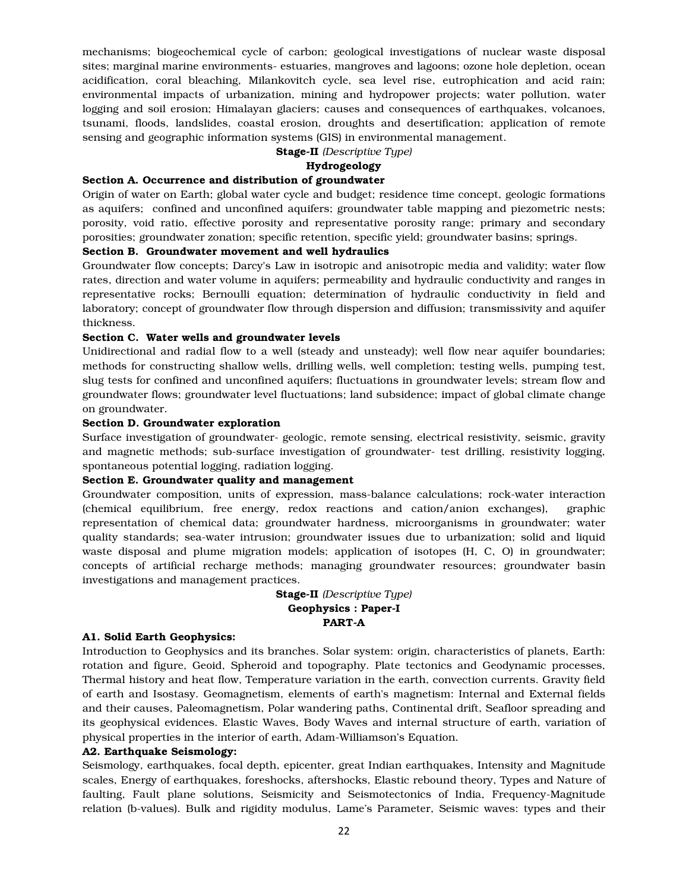mechanisms; biogeochemical cycle of carbon; geological investigations of nuclear waste disposal sites; marginal marine environments- estuaries, mangroves and lagoons; ozone hole depletion, ocean acidification, coral bleaching, Milankovitch cycle, sea level rise, eutrophication and acid rain; environmental impacts of urbanization, mining and hydropower projects; water pollution, water logging and soil erosion; Himalayan glaciers; causes and consequences of earthquakes, volcanoes, tsunami, floods, landslides, coastal erosion, droughts and desertification; application of remote sensing and geographic information systems (GIS) in environmental management.

Stage-II *(Descriptive Type)*

### Hydrogeology

# Section A. Occurrence and distribution of groundwater

Origin of water on Earth; global water cycle and budget; residence time concept, geologic formations as aquifers; confined and unconfined aquifers; groundwater table mapping and piezometric nests; porosity, void ratio, effective porosity and representative porosity range; primary and secondary porosities; groundwater zonation; specific retention, specific yield; groundwater basins; springs.

## Section B. Groundwater movement and well hydraulics

Groundwater flow concepts; Darcy's Law in isotropic and anisotropic media and validity; water flow rates, direction and water volume in aquifers; permeability and hydraulic conductivity and ranges in representative rocks; Bernoulli equation; determination of hydraulic conductivity in field and laboratory; concept of groundwater flow through dispersion and diffusion; transmissivity and aquifer thickness.

#### Section C. Water wells and groundwater levels

Unidirectional and radial flow to a well (steady and unsteady); well flow near aquifer boundaries; methods for constructing shallow wells, drilling wells, well completion; testing wells, pumping test, slug tests for confined and unconfined aquifers; fluctuations in groundwater levels; stream flow and groundwater flows; groundwater level fluctuations; land subsidence; impact of global climate change on groundwater.

#### Section D. Groundwater exploration

Surface investigation of groundwater- geologic, remote sensing, electrical resistivity, seismic, gravity and magnetic methods; sub-surface investigation of groundwater- test drilling, resistivity logging, spontaneous potential logging, radiation logging.

## Section E. Groundwater quality and management

Groundwater composition, units of expression, mass-balance calculations; rock-water interaction (chemical equilibrium, free energy, redox reactions and cation/anion exchanges), graphic representation of chemical data; groundwater hardness, microorganisms in groundwater; water quality standards; sea-water intrusion; groundwater issues due to urbanization; solid and liquid waste disposal and plume migration models; application of isotopes (H, C, O) in groundwater; concepts of artificial recharge methods; managing groundwater resources; groundwater basin investigations and management practices.

# Stage-II *(Descriptive Type)* Geophysics : Paper-I PART-A

## A1. Solid Earth Geophysics:

Introduction to Geophysics and its branches. Solar system: origin, characteristics of planets, Earth: rotation and figure, Geoid, Spheroid and topography. Plate tectonics and Geodynamic processes, Thermal history and heat flow, Temperature variation in the earth, convection currents. Gravity field of earth and Isostasy. Geomagnetism, elements of earth's magnetism: Internal and External fields and their causes, Paleomagnetism, Polar wandering paths, Continental drift, Seafloor spreading and its geophysical evidences. Elastic Waves, Body Waves and internal structure of earth, variation of physical properties in the interior of earth, Adam-Williamson's Equation.

#### A2. Earthquake Seismology:

Seismology, earthquakes, focal depth, epicenter, great Indian earthquakes, Intensity and Magnitude scales, Energy of earthquakes, foreshocks, aftershocks, Elastic rebound theory, Types and Nature of faulting, Fault plane solutions, Seismicity and Seismotectonics of India, Frequency-Magnitude relation (b-values). Bulk and rigidity modulus, Lame's Parameter, Seismic waves: types and their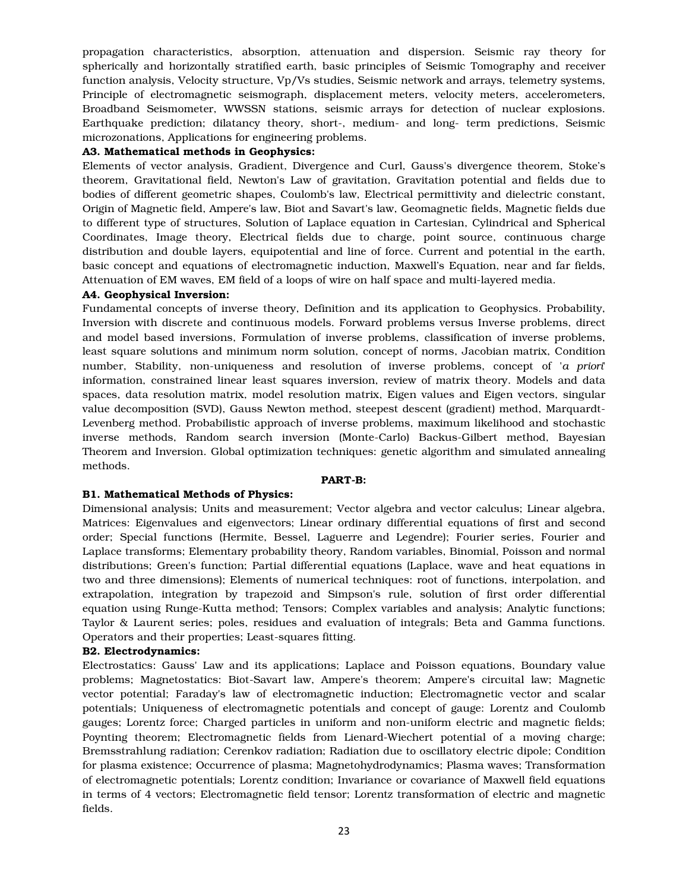propagation characteristics, absorption, attenuation and dispersion. Seismic ray theory for spherically and horizontally stratified earth, basic principles of Seismic Tomography and receiver function analysis, Velocity structure, Vp/Vs studies, Seismic network and arrays, telemetry systems, Principle of electromagnetic seismograph, displacement meters, velocity meters, accelerometers, Broadband Seismometer, WWSSN stations, seismic arrays for detection of nuclear explosions. Earthquake prediction; dilatancy theory, short-, medium- and long- term predictions, Seismic microzonations, Applications for engineering problems.

## A3. Mathematical methods in Geophysics:

Elements of vector analysis, Gradient, Divergence and Curl, Gauss's divergence theorem, Stoke's theorem, Gravitational field, Newton's Law of gravitation, Gravitation potential and fields due to bodies of different geometric shapes, Coulomb's law, Electrical permittivity and dielectric constant, Origin of Magnetic field, Ampere's law, Biot and Savart's law, Geomagnetic fields, Magnetic fields due to different type of structures, Solution of Laplace equation in Cartesian, Cylindrical and Spherical Coordinates, Image theory, Electrical fields due to charge, point source, continuous charge distribution and double layers, equipotential and line of force. Current and potential in the earth, basic concept and equations of electromagnetic induction, Maxwell's Equation, near and far fields, Attenuation of EM waves, EM field of a loops of wire on half space and multi-layered media.

#### A4. Geophysical Inversion:

Fundamental concepts of inverse theory, Definition and its application to Geophysics. Probability, Inversion with discrete and continuous models. Forward problems versus Inverse problems, direct and model based inversions, Formulation of inverse problems, classification of inverse problems, least square solutions and minimum norm solution, concept of norms, Jacobian matrix, Condition number, Stability, non-uniqueness and resolution of inverse problems, concept of '*a priori*' information, constrained linear least squares inversion, review of matrix theory. Models and data spaces, data resolution matrix, model resolution matrix, Eigen values and Eigen vectors, singular value decomposition (SVD), Gauss Newton method, steepest descent (gradient) method, Marquardt-Levenberg method. Probabilistic approach of inverse problems, maximum likelihood and stochastic inverse methods, Random search inversion (Monte-Carlo) Backus-Gilbert method, Bayesian Theorem and Inversion. Global optimization techniques: genetic algorithm and simulated annealing methods.

#### PART-B:

#### B1. Mathematical Methods of Physics:

Dimensional analysis; Units and measurement; Vector algebra and vector calculus; Linear algebra, Matrices: Eigenvalues and eigenvectors; Linear ordinary differential equations of first and second order; Special functions (Hermite, Bessel, Laguerre and Legendre); Fourier series, Fourier and Laplace transforms; Elementary probability theory, Random variables, Binomial, Poisson and normal distributions; Green's function; Partial differential equations (Laplace, wave and heat equations in two and three dimensions); Elements of numerical techniques: root of functions, interpolation, and extrapolation, integration by trapezoid and Simpson's rule, solution of first order differential equation using Runge-Kutta method; Tensors; Complex variables and analysis; Analytic functions; Taylor & Laurent series; poles, residues and evaluation of integrals; Beta and Gamma functions. Operators and their properties; Least-squares fitting.

#### B2. Electrodynamics:

Electrostatics: Gauss' Law and its applications; Laplace and Poisson equations, Boundary value problems; Magnetostatics: Biot-Savart law, Ampere's theorem; Ampere's circuital law; Magnetic vector potential; Faraday's law of electromagnetic induction; Electromagnetic vector and scalar potentials; Uniqueness of electromagnetic potentials and concept of gauge: Lorentz and Coulomb gauges; Lorentz force; Charged particles in uniform and non-uniform electric and magnetic fields; Poynting theorem; Electromagnetic fields from Lienard-Wiechert potential of a moving charge; Bremsstrahlung radiation; Cerenkov radiation; Radiation due to oscillatory electric dipole; Condition for plasma existence; Occurrence of plasma; Magnetohydrodynamics; Plasma waves; Transformation of electromagnetic potentials; Lorentz condition; Invariance or covariance of Maxwell field equations in terms of 4 vectors; Electromagnetic field tensor; Lorentz transformation of electric and magnetic fields.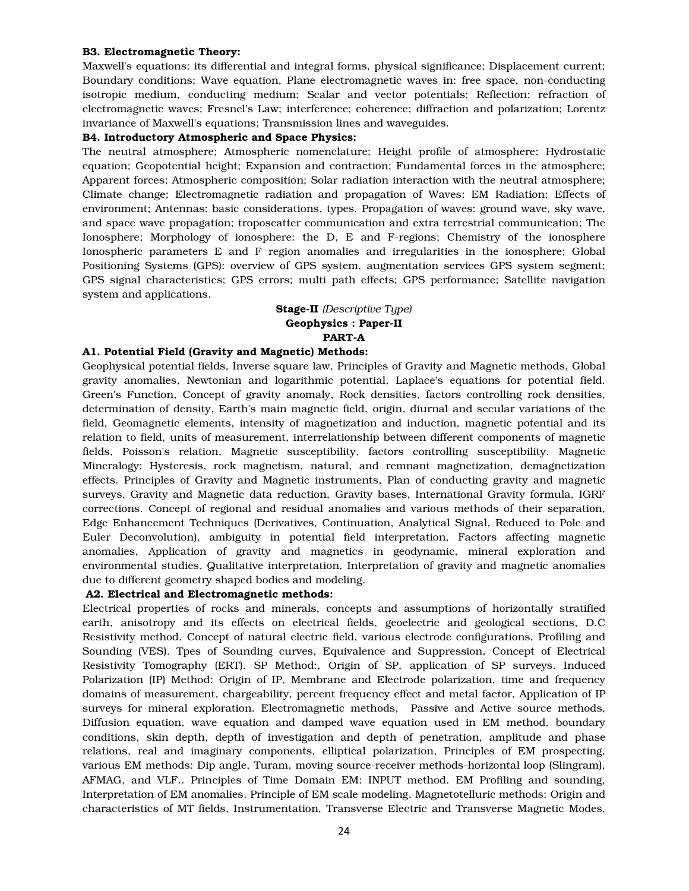## B3. Electromagnetic Theory:

Maxwell's equations: its differential and integral forms, physical significance; Displacement current; Boundary conditions; Wave equation, Plane electromagnetic waves in: free space, non-conducting isotropic medium, conducting medium; Scalar and vector potentials; Reflection; refraction of electromagnetic waves; Fresnel's Law; interference; coherence; diffraction and polarization; Lorentz invariance of Maxwell's equations; Transmission lines and waveguides.

## B4. Introductory Atmospheric and Space Physics:

The neutral atmosphere; Atmospheric nomenclature; Height profile of atmosphere; Hydrostatic equation; Geopotential height; Expansion and contraction; Fundamental forces in the atmosphere; Apparent forces; Atmospheric composition; Solar radiation interaction with the neutral atmosphere; Climate change; Electromagnetic radiation and propagation of Waves: EM Radiation; Effects of environment; Antennas: basic considerations, types. Propagation of waves: ground wave, sky wave, and space wave propagation; troposcatter communication and extra terrestrial communication; The Ionosphere; Morphology of ionosphere: the D, E and F-regions; Chemistry of the ionosphere Ionospheric parameters E and F region anomalies and irregularities in the ionosphere; Global Positioning Systems (GPS): overview of GPS system, augmentation services GPS system segment; GPS signal characteristics; GPS errors; multi path effects; GPS performance; Satellite navigation system and applications.

# Stage-II *(Descriptive Type)* Geophysics : Paper-II PART-A

# A1. Potential Field (Gravity and Magnetic) Methods:

Geophysical potential fields, Inverse square law, Principles of Gravity and Magnetic methods, Global gravity anomalies, Newtonian and logarithmic potential, Laplace's equations for potential field. Green's Function, Concept of gravity anomaly, Rock densities, factors controlling rock densities, determination of density, Earth's main magnetic field, origin, diurnal and secular variations of the field, Geomagnetic elements, intensity of magnetization and induction, magnetic potential and its relation to field, units of measurement, interrelationship between different components of magnetic fields, Poisson's relation, Magnetic susceptibility, factors controlling susceptibility. Magnetic Mineralogy: Hysteresis, rock magnetism, natural, and remnant magnetization, demagnetization effects. Principles of Gravity and Magnetic instruments, Plan of conducting gravity and magnetic surveys, Gravity and Magnetic data reduction, Gravity bases, International Gravity formula, IGRF corrections. Concept of regional and residual anomalies and various methods of their separation, Edge Enhancement Techniques (Derivatives, Continuation, Analytical Signal, Reduced to Pole and Euler Deconvolution), ambiguity in potential field interpretation, Factors affecting magnetic anomalies, Application of gravity and magnetics in geodynamic, mineral exploration and environmental studies. Qualitative interpretation, Interpretation of gravity and magnetic anomalies due to different geometry shaped bodies and modeling.

# A2. Electrical and Electromagnetic methods:

Electrical properties of rocks and minerals, concepts and assumptions of horizontally stratified earth, anisotropy and its effects on electrical fields, geoelectric and geological sections, D.C Resistivity method. Concept of natural electric field, various electrode configurations, Profiling and Sounding (VES). Tpes of Sounding curves, Equivalence and Suppression, Concept of Electrical Resistivity Tomography (ERT). SP Method:, Origin of SP, application of SP surveys. Induced Polarization (IP) Method: Origin of IP, Membrane and Electrode polarization, time and frequency domains of measurement, chargeability, percent frequency effect and metal factor, Application of IP surveys for mineral exploration. Electromagnetic methods, Passive and Active source methods, Diffusion equation, wave equation and damped wave equation used in EM method, boundary conditions, skin depth, depth of investigation and depth of penetration, amplitude and phase relations, real and imaginary components, elliptical polarization, Principles of EM prospecting, various EM methods: Dip angle, Turam, moving source-receiver methods-horizontal loop (Slingram), AFMAG, and VLF.. Principles of Time Domain EM: INPUT method. EM Profiling and sounding, Interpretation of EM anomalies. Principle of EM scale modeling. Magnetotelluric methods: Origin and characteristics of MT fields, Instrumentation, Transverse Electric and Transverse Magnetic Modes,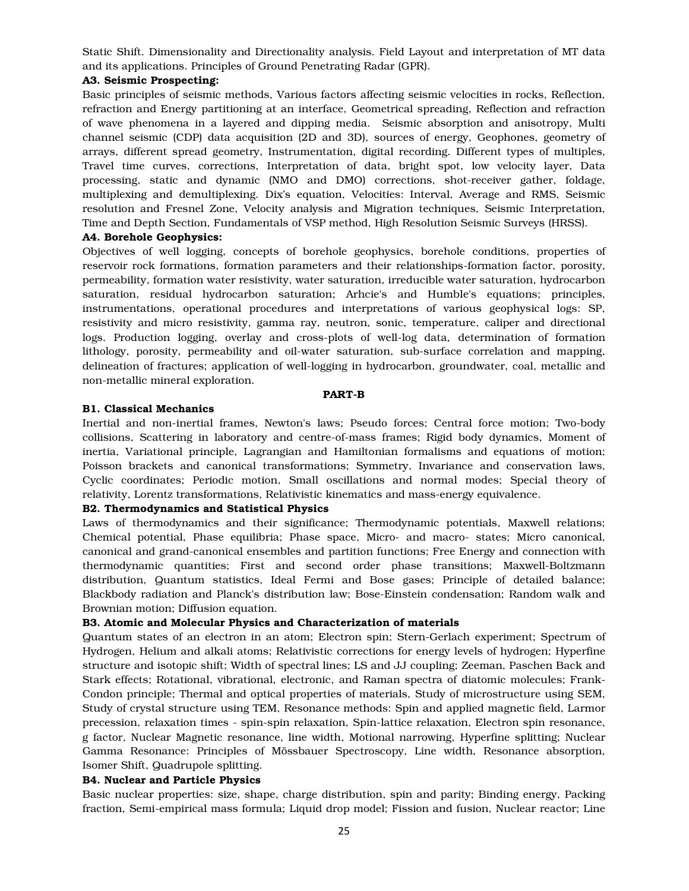Static Shift. Dimensionality and Directionality analysis. Field Layout and interpretation of MT data and its applications. Principles of Ground Penetrating Radar (GPR).

## A3. Seismic Prospecting:

Basic principles of seismic methods, Various factors affecting seismic velocities in rocks, Reflection, refraction and Energy partitioning at an interface, Geometrical spreading, Reflection and refraction of wave phenomena in a layered and dipping media. Seismic absorption and anisotropy, Multi channel seismic (CDP) data acquisition (2D and 3D), sources of energy, Geophones, geometry of arrays, different spread geometry, Instrumentation, digital recording. Different types of multiples, Travel time curves, corrections, Interpretation of data, bright spot, low velocity layer, Data processing, static and dynamic (NMO and DMO) corrections, shot-receiver gather, foldage, multiplexing and demultiplexing. Dix's equation, Velocities: Interval, Average and RMS, Seismic resolution and Fresnel Zone, Velocity analysis and Migration techniques, Seismic Interpretation, Time and Depth Section, Fundamentals of VSP method, High Resolution Seismic Surveys (HRSS).

## A4. Borehole Geophysics:

Objectives of well logging, concepts of borehole geophysics, borehole conditions, properties of reservoir rock formations, formation parameters and their relationships-formation factor, porosity, permeability, formation water resistivity, water saturation, irreducible water saturation, hydrocarbon saturation, residual hydrocarbon saturation; Arhcie's and Humble's equations; principles, instrumentations, operational procedures and interpretations of various geophysical logs: SP, resistivity and micro resistivity, gamma ray, neutron, sonic, temperature, caliper and directional logs. Production logging, overlay and cross-plots of well-log data, determination of formation lithology, porosity, permeability and oil-water saturation, sub-surface correlation and mapping, delineation of fractures; application of well-logging in hydrocarbon, groundwater, coal, metallic and non-metallic mineral exploration.

#### PART-B

# B1. Classical Mechanics

Inertial and non-inertial frames, Newton's laws; Pseudo forces; Central force motion; Two-body collisions, Scattering in laboratory and centre-of-mass frames; Rigid body dynamics, Moment of inertia, Variational principle, Lagrangian and Hamiltonian formalisms and equations of motion; Poisson brackets and canonical transformations; Symmetry, Invariance and conservation laws, Cyclic coordinates; Periodic motion, Small oscillations and normal modes; Special theory of relativity, Lorentz transformations, Relativistic kinematics and mass-energy equivalence.

#### B2. Thermodynamics and Statistical Physics

Laws of thermodynamics and their significance; Thermodynamic potentials, Maxwell relations; Chemical potential, Phase equilibria; Phase space, Micro- and macro- states; Micro canonical, canonical and grand-canonical ensembles and partition functions; Free Energy and connection with thermodynamic quantities; First and second order phase transitions; Maxwell-Boltzmann distribution, Quantum statistics, Ideal Fermi and Bose gases; Principle of detailed balance; Blackbody radiation and Planck's distribution law; Bose-Einstein condensation; Random walk and Brownian motion; Diffusion equation.

### B3. Atomic and Molecular Physics and Characterization of materials

Quantum states of an electron in an atom; Electron spin; Stern-Gerlach experiment; Spectrum of Hydrogen, Helium and alkali atoms; Relativistic corrections for energy levels of hydrogen; Hyperfine structure and isotopic shift; Width of spectral lines; LS and JJ coupling; Zeeman, Paschen Back and Stark effects; Rotational, vibrational, electronic, and Raman spectra of diatomic molecules; Frank-Condon principle; Thermal and optical properties of materials, Study of microstructure using SEM, Study of crystal structure using TEM, Resonance methods: Spin and applied magnetic field, Larmor precession, relaxation times - spin-spin relaxation, Spin-lattice relaxation, Electron spin resonance, g factor, Nuclear Magnetic resonance, line width, Motional narrowing, Hyperfine splitting; Nuclear Gamma Resonance: Principles of Mössbauer Spectroscopy, Line width, Resonance absorption, Isomer Shift, Quadrupole splitting.

## B4. Nuclear and Particle Physics

Basic nuclear properties: size, shape, charge distribution, spin and parity; Binding energy, Packing fraction, Semi-empirical mass formula; Liquid drop model; Fission and fusion, Nuclear reactor; Line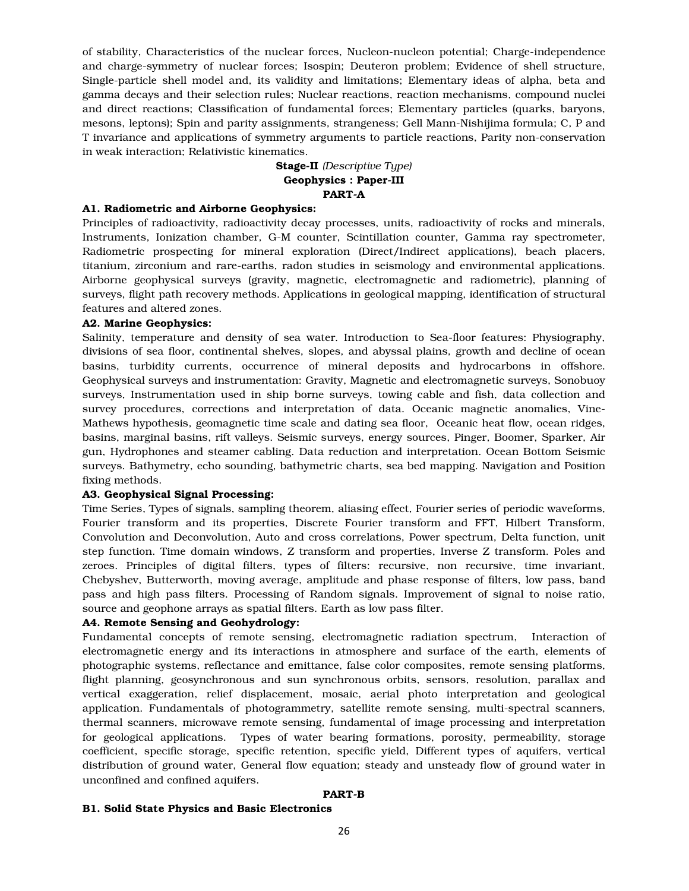of stability, Characteristics of the nuclear forces, Nucleon-nucleon potential; Charge-independence and charge-symmetry of nuclear forces; Isospin; Deuteron problem; Evidence of shell structure, Single-particle shell model and, its validity and limitations; Elementary ideas of alpha, beta and gamma decays and their selection rules; Nuclear reactions, reaction mechanisms, compound nuclei and direct reactions; Classification of fundamental forces; Elementary particles (quarks, baryons, mesons, leptons); Spin and parity assignments, strangeness; Gell Mann-Nishijima formula; C, P and T invariance and applications of symmetry arguments to particle reactions, Parity non-conservation in weak interaction; Relativistic kinematics.

# Stage-II *(Descriptive Type)* Geophysics : Paper-III PART-A

#### A1. Radiometric and Airborne Geophysics:

Principles of radioactivity, radioactivity decay processes, units, radioactivity of rocks and minerals, Instruments, Ionization chamber, G-M counter, Scintillation counter, Gamma ray spectrometer, Radiometric prospecting for mineral exploration (Direct/Indirect applications), beach placers, titanium, zirconium and rare-earths, radon studies in seismology and environmental applications. Airborne geophysical surveys (gravity, magnetic, electromagnetic and radiometric), planning of surveys, flight path recovery methods. Applications in geological mapping, identification of structural features and altered zones.

#### A2. Marine Geophysics:

Salinity, temperature and density of sea water. Introduction to Sea-floor features: Physiography, divisions of sea floor, continental shelves, slopes, and abyssal plains, growth and decline of ocean basins, turbidity currents, occurrence of mineral deposits and hydrocarbons in offshore. Geophysical surveys and instrumentation: Gravity, Magnetic and electromagnetic surveys, Sonobuoy surveys, Instrumentation used in ship borne surveys, towing cable and fish, data collection and survey procedures, corrections and interpretation of data. Oceanic magnetic anomalies, Vine-Mathews hypothesis, geomagnetic time scale and dating sea floor, Oceanic heat flow, ocean ridges, basins, marginal basins, rift valleys. Seismic surveys, energy sources, Pinger, Boomer, Sparker, Air gun, Hydrophones and steamer cabling. Data reduction and interpretation. Ocean Bottom Seismic surveys. Bathymetry, echo sounding, bathymetric charts, sea bed mapping. Navigation and Position fixing methods.

# A3. Geophysical Signal Processing:

Time Series, Types of signals, sampling theorem, aliasing effect, Fourier series of periodic waveforms, Fourier transform and its properties, Discrete Fourier transform and FFT, Hilbert Transform, Convolution and Deconvolution, Auto and cross correlations, Power spectrum, Delta function, unit step function. Time domain windows, Z transform and properties, Inverse Z transform. Poles and zeroes. Principles of digital filters, types of filters: recursive, non recursive, time invariant, Chebyshev, Butterworth, moving average, amplitude and phase response of filters, low pass, band pass and high pass filters. Processing of Random signals. Improvement of signal to noise ratio, source and geophone arrays as spatial filters. Earth as low pass filter.

#### A4. Remote Sensing and Geohydrology:

Fundamental concepts of remote sensing, electromagnetic radiation spectrum, Interaction of electromagnetic energy and its interactions in atmosphere and surface of the earth, elements of photographic systems, reflectance and emittance, false color composites, remote sensing platforms, flight planning, geosynchronous and sun synchronous orbits, sensors, resolution, parallax and vertical exaggeration, relief displacement, mosaic, aerial photo interpretation and geological application. Fundamentals of photogrammetry, satellite remote sensing, multi-spectral scanners, thermal scanners, microwave remote sensing, fundamental of image processing and interpretation for geological applications. Types of water bearing formations, porosity, permeability, storage coefficient, specific storage, specific retention, specific yield, Different types of aquifers, vertical distribution of ground water, General flow equation; steady and unsteady flow of ground water in unconfined and confined aquifers.

#### PART-B

#### B1. Solid State Physics and Basic Electronics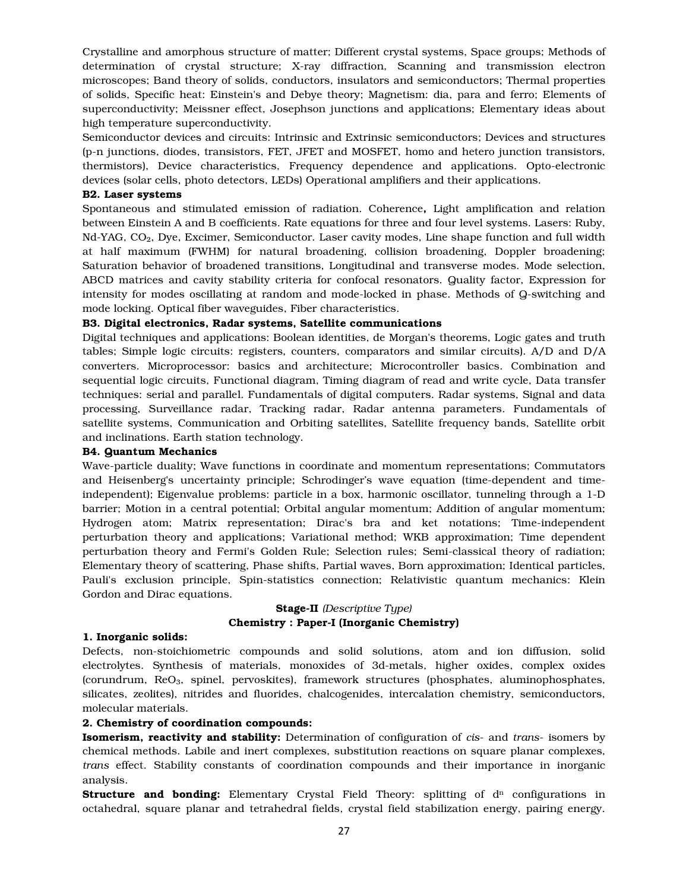Crystalline and amorphous structure of matter; Different crystal systems, Space groups; Methods of determination of crystal structure; X-ray diffraction, Scanning and transmission electron microscopes; Band theory of solids, conductors, insulators and semiconductors; Thermal properties of solids, Specific heat: Einstein's and Debye theory; Magnetism: dia, para and ferro; Elements of superconductivity; Meissner effect, Josephson junctions and applications; Elementary ideas about high temperature superconductivity.

Semiconductor devices and circuits: Intrinsic and Extrinsic semiconductors; Devices and structures (p-n junctions, diodes, transistors, FET, JFET and MOSFET, homo and hetero junction transistors, thermistors), Device characteristics, Frequency dependence and applications. Opto-electronic devices (solar cells, photo detectors, LEDs) Operational amplifiers and their applications.

## B2. Laser systems

Spontaneous and stimulated emission of radiation. Coherence, Light amplification and relation between Einstein A and B coefficients. Rate equations for three and four level systems. Lasers: Ruby,  $Nd-YAG$ ,  $CO<sub>2</sub>$ , Dye, Excimer, Semiconductor. Laser cavity modes, Line shape function and full width at half maximum (FWHM) for natural broadening, collision broadening, Doppler broadening; Saturation behavior of broadened transitions, Longitudinal and transverse modes. Mode selection, ABCD matrices and cavity stability criteria for confocal resonators. Quality factor, Expression for intensity for modes oscillating at random and mode-locked in phase. Methods of Q-switching and mode locking. Optical fiber waveguides, Fiber characteristics.

## B3. Digital electronics, Radar systems, Satellite communications

Digital techniques and applications: Boolean identities, de Morgan's theorems, Logic gates and truth tables; Simple logic circuits: registers, counters, comparators and similar circuits). A/D and D/A converters. Microprocessor: basics and architecture; Microcontroller basics. Combination and sequential logic circuits, Functional diagram, Timing diagram of read and write cycle, Data transfer techniques: serial and parallel. Fundamentals of digital computers. Radar systems, Signal and data processing, Surveillance radar, Tracking radar, Radar antenna parameters. Fundamentals of satellite systems, Communication and Orbiting satellites, Satellite frequency bands, Satellite orbit and inclinations. Earth station technology.

# B4. Quantum Mechanics

Wave-particle duality; Wave functions in coordinate and momentum representations; Commutators and Heisenberg's uncertainty principle; Schrodinger's wave equation (time-dependent and timeindependent); Eigenvalue problems: particle in a box, harmonic oscillator, tunneling through a 1-D barrier; Motion in a central potential; Orbital angular momentum; Addition of angular momentum; Hydrogen atom; Matrix representation; Dirac's bra and ket notations; Time-independent perturbation theory and applications; Variational method; WKB approximation; Time dependent perturbation theory and Fermi's Golden Rule; Selection rules; Semi-classical theory of radiation; Elementary theory of scattering, Phase shifts, Partial waves, Born approximation; Identical particles, Pauli's exclusion principle, Spin-statistics connection; Relativistic quantum mechanics: Klein Gordon and Dirac equations.

# Stage-II *(Descriptive Type)* Chemistry : Paper-I (Inorganic Chemistry)

# 1. Inorganic solids:

Defects, non-stoichiometric compounds and solid solutions, atom and ion diffusion, solid electrolytes. Synthesis of materials, monoxides of 3d-metals, higher oxides, complex oxides (corundrum, ReO3, spinel, pervoskites), framework structures (phosphates, aluminophosphates, silicates, zeolites), nitrides and fluorides, chalcogenides, intercalation chemistry, semiconductors, molecular materials.

## 2. Chemistry of coordination compounds:

Isomerism, reactivity and stability: Determination of configuration of *cis*- and *trans*- isomers by chemical methods. Labile and inert complexes, substitution reactions on square planar complexes, *trans* effect. Stability constants of coordination compounds and their importance in inorganic analysis.

**Structure and bonding:** Elementary Crystal Field Theory: splitting of  $d<sup>n</sup>$  configurations in octahedral, square planar and tetrahedral fields, crystal field stabilization energy, pairing energy.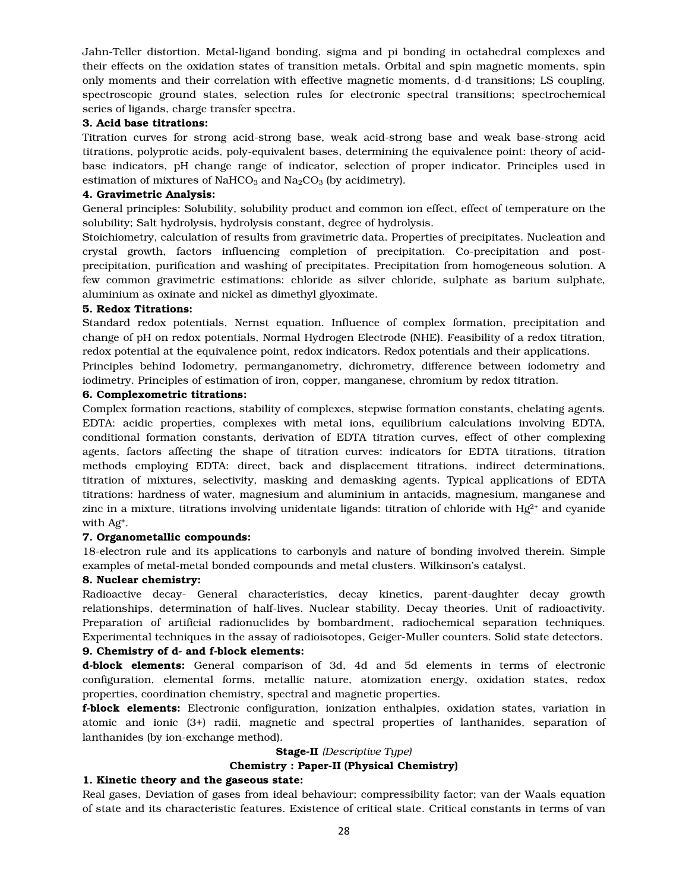Jahn-Teller distortion. Metal-ligand bonding, sigma and pi bonding in octahedral complexes and their effects on the oxidation states of transition metals. Orbital and spin magnetic moments, spin only moments and their correlation with effective magnetic moments, d-d transitions; LS coupling, spectroscopic ground states, selection rules for electronic spectral transitions; spectrochemical series of ligands, charge transfer spectra.

## 3. Acid base titrations:

Titration curves for strong acid-strong base, weak acid-strong base and weak base-strong acid titrations, polyprotic acids, poly-equivalent bases, determining the equivalence point: theory of acidbase indicators, pH change range of indicator, selection of proper indicator. Principles used in estimation of mixtures of NaHCO<sub>3</sub> and Na<sub>2</sub>CO<sub>3</sub> (by acidimetry).

## 4. Gravimetric Analysis:

General principles: Solubility, solubility product and common ion effect, effect of temperature on the solubility; Salt hydrolysis, hydrolysis constant, degree of hydrolysis.

Stoichiometry, calculation of results from gravimetric data. Properties of precipitates. Nucleation and crystal growth, factors influencing completion of precipitation. Co-precipitation and postprecipitation, purification and washing of precipitates. Precipitation from homogeneous solution. A few common gravimetric estimations: chloride as silver chloride, sulphate as barium sulphate, aluminium as oxinate and nickel as dimethyl glyoximate.

## 5. Redox Titrations:

Standard redox potentials, Nernst equation. Influence of complex formation, precipitation and change of pH on redox potentials, Normal Hydrogen Electrode (NHE). Feasibility of a redox titration, redox potential at the equivalence point, redox indicators. Redox potentials and their applications.

Principles behind Iodometry, permanganometry, dichrometry, difference between iodometry and iodimetry. Principles of estimation of iron, copper, manganese, chromium by redox titration.

# 6. Complexometric titrations:

Complex formation reactions, stability of complexes, stepwise formation constants, chelating agents. EDTA: acidic properties, complexes with metal ions, equilibrium calculations involving EDTA, conditional formation constants, derivation of EDTA titration curves, effect of other complexing agents, factors affecting the shape of titration curves: indicators for EDTA titrations, titration methods employing EDTA: direct, back and displacement titrations, indirect determinations, titration of mixtures, selectivity, masking and demasking agents. Typical applications of EDTA titrations: hardness of water, magnesium and aluminium in antacids, magnesium, manganese and zinc in a mixture, titrations involving unidentate ligands: titration of chloride with  $Hg^{2+}$  and cyanide with Ag+.

# 7. Organometallic compounds:

18-electron rule and its applications to carbonyls and nature of bonding involved therein. Simple examples of metal-metal bonded compounds and metal clusters. Wilkinson's catalyst.

# 8. Nuclear chemistry:

Radioactive decay- General characteristics, decay kinetics, parent-daughter decay growth relationships, determination of half-lives. Nuclear stability. Decay theories. Unit of radioactivity. Preparation of artificial radionuclides by bombardment, radiochemical separation techniques. Experimental techniques in the assay of radioisotopes, Geiger-Muller counters. Solid state detectors.

### 9. Chemistry of d- and f-block elements:

d-block elements: General comparison of 3d, 4d and 5d elements in terms of electronic configuration, elemental forms, metallic nature, atomization energy, oxidation states, redox properties, coordination chemistry, spectral and magnetic properties.

f-block elements: Electronic configuration, ionization enthalpies, oxidation states, variation in atomic and ionic (3+) radii, magnetic and spectral properties of lanthanides, separation of lanthanides (by ion-exchange method).

# Stage-II *(Descriptive Type)*

## Chemistry : Paper-II (Physical Chemistry)

# 1. Kinetic theory and the gaseous state:

Real gases, Deviation of gases from ideal behaviour; compressibility factor; van der Waals equation of state and its characteristic features. Existence of critical state. Critical constants in terms of van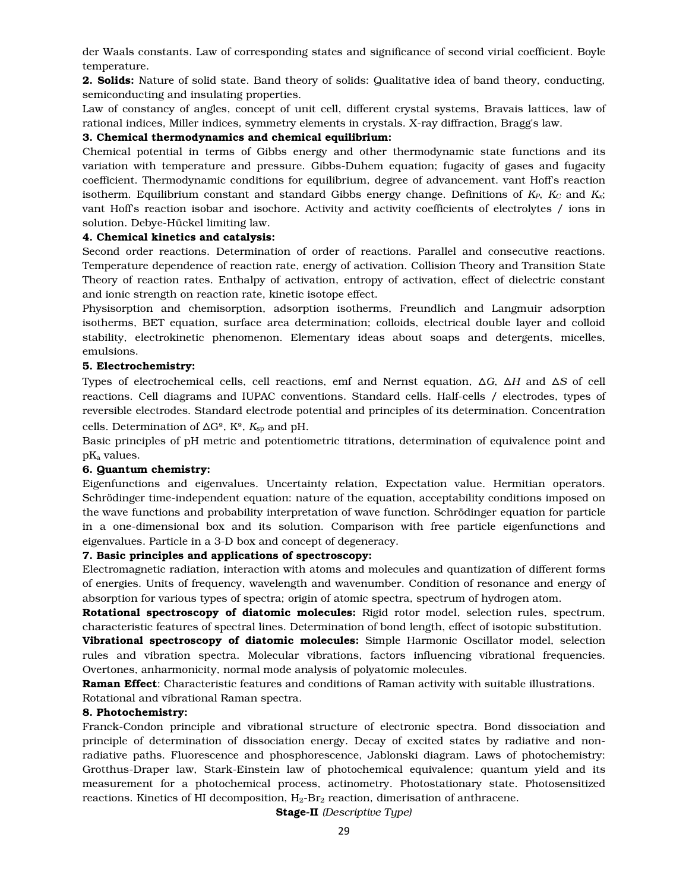der Waals constants. Law of corresponding states and significance of second virial coefficient. Boyle temperature.

2. Solids: Nature of solid state. Band theory of solids: Qualitative idea of band theory, conducting, semiconducting and insulating properties.

Law of constancy of angles, concept of unit cell, different crystal systems, Bravais lattices, law of rational indices, Miller indices, symmetry elements in crystals. X-ray diffraction, Bragg's law.

## 3. Chemical thermodynamics and chemical equilibrium:

Chemical potential in terms of Gibbs energy and other thermodynamic state functions and its variation with temperature and pressure. Gibbs-Duhem equation; fugacity of gases and fugacity coefficient. Thermodynamic conditions for equilibrium, degree of advancement. vant Hoff's reaction isotherm. Equilibrium constant and standard Gibbs energy change. Definitions of  $K_P$ ,  $K_C$  and  $K_X$ ; vant Hoff's reaction isobar and isochore. Activity and activity coefficients of electrolytes / ions in solution. Debye-Hückel limiting law.

#### 4. Chemical kinetics and catalysis:

Second order reactions. Determination of order of reactions. Parallel and consecutive reactions. Temperature dependence of reaction rate, energy of activation. Collision Theory and Transition State Theory of reaction rates. Enthalpy of activation, entropy of activation, effect of dielectric constant and ionic strength on reaction rate, kinetic isotope effect.

Physisorption and chemisorption, adsorption isotherms, Freundlich and Langmuir adsorption isotherms, BET equation, surface area determination; colloids, electrical double layer and colloid stability, electrokinetic phenomenon. Elementary ideas about soaps and detergents, micelles, emulsions.

#### 5. Electrochemistry:

Types of electrochemical cells, cell reactions, emf and Nernst equation,  $\Delta G$ ,  $\Delta H$  and  $\Delta S$  of cell reactions. Cell diagrams and IUPAC conventions. Standard cells. Half-cells / electrodes, types of reversible electrodes. Standard electrode potential and principles of its determination. Concentration cells. Determination of  $\Delta G^{\circ}$ ,  $K^{\circ}$ ,  $K_{\text{sp}}$  and pH.

Basic principles of pH metric and potentiometric titrations, determination of equivalence point and pKa values.

# 6. Quantum chemistry:

Eigenfunctions and eigenvalues. Uncertainty relation, Expectation value. Hermitian operators. Schrödinger time-independent equation: nature of the equation, acceptability conditions imposed on the wave functions and probability interpretation of wave function. Schrödinger equation for particle in a one-dimensional box and its solution. Comparison with free particle eigenfunctions and eigenvalues. Particle in a 3-D box and concept of degeneracy.

## 7. Basic principles and applications of spectroscopy:

Electromagnetic radiation, interaction with atoms and molecules and quantization of different forms of energies. Units of frequency, wavelength and wavenumber. Condition of resonance and energy of absorption for various types of spectra; origin of atomic spectra, spectrum of hydrogen atom.

Rotational spectroscopy of diatomic molecules: Rigid rotor model, selection rules, spectrum, characteristic features of spectral lines. Determination of bond length, effect of isotopic substitution.

Vibrational spectroscopy of diatomic molecules: Simple Harmonic Oscillator model, selection rules and vibration spectra. Molecular vibrations, factors influencing vibrational frequencies. Overtones, anharmonicity, normal mode analysis of polyatomic molecules.

Raman Effect: Characteristic features and conditions of Raman activity with suitable illustrations. Rotational and vibrational Raman spectra.

# 8. Photochemistry:

Franck-Condon principle and vibrational structure of electronic spectra. Bond dissociation and principle of determination of dissociation energy. Decay of excited states by radiative and nonradiative paths. Fluorescence and phosphorescence, Jablonski diagram. Laws of photochemistry: Grotthus-Draper law, Stark-Einstein law of photochemical equivalence; quantum yield and its measurement for a photochemical process, actinometry. Photostationary state. Photosensitized reactions. Kinetics of HI decomposition,  $H_2$ -Br<sub>2</sub> reaction, dimerisation of anthracene.

Stage-II *(Descriptive Type)*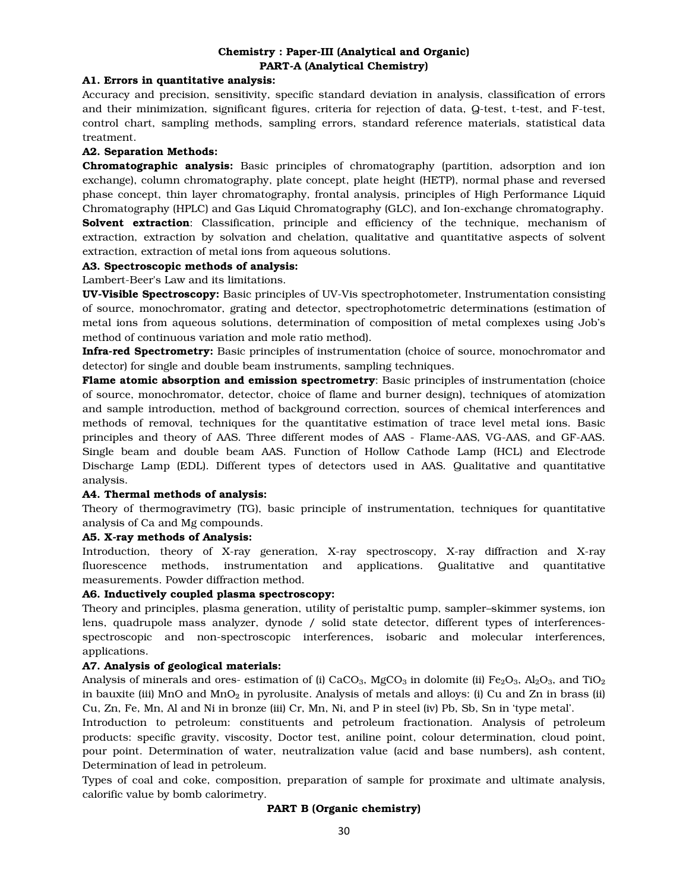# Chemistry : Paper-III (Analytical and Organic) PART-A (Analytical Chemistry)

# A1. Errors in quantitative analysis:

Accuracy and precision, sensitivity, specific standard deviation in analysis, classification of errors and their minimization, significant figures, criteria for rejection of data, Q-test, t-test, and F-test, control chart, sampling methods, sampling errors, standard reference materials, statistical data treatment.

# A2. Separation Methods:

Chromatographic analysis: Basic principles of chromatography (partition, adsorption and ion exchange), column chromatography, plate concept, plate height (HETP), normal phase and reversed phase concept, thin layer chromatography, frontal analysis, principles of High Performance Liquid Chromatography (HPLC) and Gas Liquid Chromatography (GLC), and Ion-exchange chromatography. Solvent extraction: Classification, principle and efficiency of the technique, mechanism of extraction, extraction by solvation and chelation, qualitative and quantitative aspects of solvent extraction, extraction of metal ions from aqueous solutions.

# A3. Spectroscopic methods of analysis:

Lambert-Beer's Law and its limitations.

UV-Visible Spectroscopy: Basic principles of UV-Vis spectrophotometer, Instrumentation consisting of source, monochromator, grating and detector, spectrophotometric determinations (estimation of metal ions from aqueous solutions, determination of composition of metal complexes using Job's method of continuous variation and mole ratio method).

Infra-red Spectrometry: Basic principles of instrumentation (choice of source, monochromator and detector) for single and double beam instruments, sampling techniques.

Flame atomic absorption and emission spectrometry: Basic principles of instrumentation (choice of source, monochromator, detector, choice of flame and burner design), techniques of atomization and sample introduction, method of background correction, sources of chemical interferences and methods of removal, techniques for the quantitative estimation of trace level metal ions. Basic principles and theory of AAS. Three different modes of AAS - Flame-AAS, VG-AAS, and GF-AAS. Single beam and double beam AAS. Function of Hollow Cathode Lamp (HCL) and Electrode Discharge Lamp (EDL). Different types of detectors used in AAS. Qualitative and quantitative analysis.

# A4. Thermal methods of analysis:

Theory of thermogravimetry (TG), basic principle of instrumentation, techniques for quantitative analysis of Ca and Mg compounds.

#### A5. X-ray methods of Analysis:

Introduction, theory of X-ray generation, X-ray spectroscopy, X-ray diffraction and X-ray fluorescence methods, instrumentation and applications. Qualitative and quantitative measurements. Powder diffraction method.

# A6. Inductively coupled plasma spectroscopy:

Theory and principles, plasma generation, utility of peristaltic pump, sampler–skimmer systems, ion lens, quadrupole mass analyzer, dynode / solid state detector, different types of interferencesspectroscopic and non-spectroscopic interferences, isobaric and molecular interferences, applications.

# A7. Analysis of geological materials:

Analysis of minerals and ores- estimation of (i) CaCO<sub>3</sub>, MgCO<sub>3</sub> in dolomite (ii) Fe<sub>2</sub>O<sub>3</sub>, Al<sub>2</sub>O<sub>3</sub>, and TiO<sub>2</sub> in bauxite (iii) MnO and  $MnO_2$  in pyrolusite. Analysis of metals and alloys: (i) Cu and Zn in brass (ii) Cu, Zn, Fe, Mn, Al and Ni in bronze (iii) Cr, Mn, Ni, and P in steel (iv) Pb, Sb, Sn in 'type metal'.

Introduction to petroleum: constituents and petroleum fractionation. Analysis of petroleum products: specific gravity, viscosity, Doctor test, aniline point, colour determination, cloud point, pour point. Determination of water, neutralization value (acid and base numbers), ash content, Determination of lead in petroleum.

Types of coal and coke, composition, preparation of sample for proximate and ultimate analysis, calorific value by bomb calorimetry.

## PART B (Organic chemistry)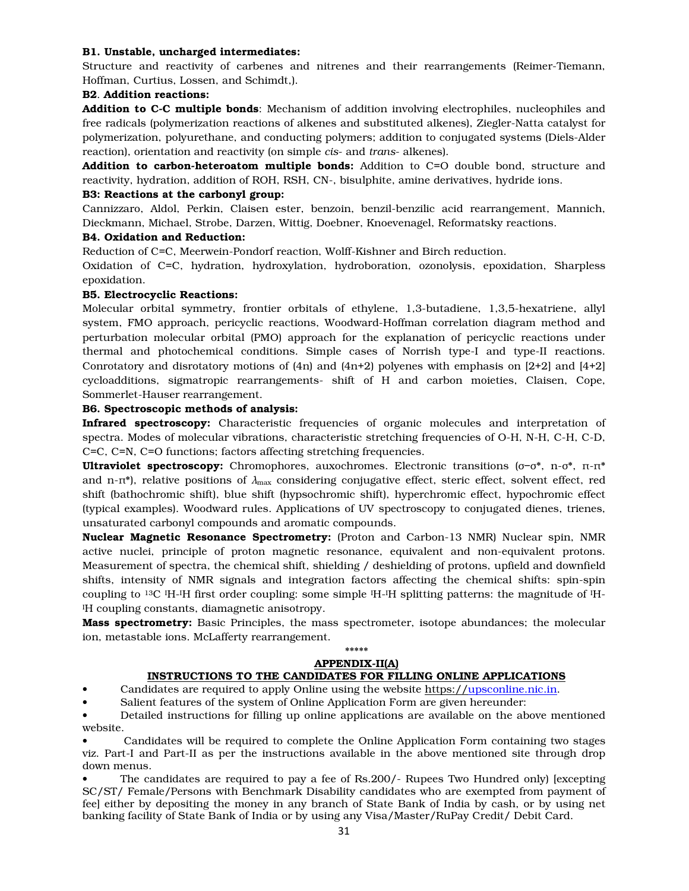#### B1. Unstable, uncharged intermediates:

Structure and reactivity of carbenes and nitrenes and their rearrangements (Reimer-Tiemann, Hoffman, Curtius, Lossen, and Schimdt,).

## B2. Addition reactions:

Addition to C-C multiple bonds: Mechanism of addition involving electrophiles, nucleophiles and free radicals (polymerization reactions of alkenes and substituted alkenes), Ziegler-Natta catalyst for polymerization, polyurethane, and conducting polymers; addition to conjugated systems (Diels-Alder reaction), orientation and reactivity (on simple *cis*- and *trans*- alkenes).

Addition to carbon-heteroatom multiple bonds: Addition to C=O double bond, structure and reactivity, hydration, addition of ROH, RSH, CN-, bisulphite, amine derivatives, hydride ions.

#### B3: Reactions at the carbonyl group:

Cannizzaro, Aldol, Perkin, Claisen ester, benzoin, benzil-benzilic acid rearrangement, Mannich, Dieckmann, Michael, Strobe, Darzen, Wittig, Doebner, Knoevenagel, Reformatsky reactions.

#### B4. Oxidation and Reduction:

Reduction of C=C, Meerwein-Pondorf reaction, Wolff-Kishner and Birch reduction.

Oxidation of C=C, hydration, hydroxylation, hydroboration, ozonolysis, epoxidation, Sharpless epoxidation.

#### B5. Electrocyclic Reactions:

Molecular orbital symmetry, frontier orbitals of ethylene, 1,3-butadiene, 1,3,5-hexatriene, allyl system, FMO approach, pericyclic reactions, Woodward-Hoffman correlation diagram method and perturbation molecular orbital (PMO) approach for the explanation of pericyclic reactions under thermal and photochemical conditions. Simple cases of Norrish type-I and type-II reactions. Conrotatory and disrotatory motions of (4n) and (4n+2) polyenes with emphasis on [2+2] and [4+2] cycloadditions, sigmatropic rearrangements- shift of H and carbon moieties, Claisen, Cope, Sommerlet-Hauser rearrangement.

## B6. Spectroscopic methods of analysis:

Infrared spectroscopy: Characteristic frequencies of organic molecules and interpretation of spectra. Modes of molecular vibrations, characteristic stretching frequencies of O-H, N-H, C-H, C-D, C=C, C=N, C=O functions; factors affecting stretching frequencies.

**Ultraviolet spectroscopy:** Chromophores, auxochromes. Electronic transitions (σ−σ\*, n-σ\*, π-π\* and n-π\*), relative positions of *λ*max considering conjugative effect, steric effect, solvent effect, red shift (bathochromic shift), blue shift (hypsochromic shift), hyperchromic effect, hypochromic effect (typical examples). Woodward rules. Applications of UV spectroscopy to conjugated dienes, trienes, unsaturated carbonyl compounds and aromatic compounds.

Nuclear Magnetic Resonance Spectrometry: (Proton and Carbon-13 NMR) Nuclear spin, NMR active nuclei, principle of proton magnetic resonance, equivalent and non-equivalent protons. Measurement of spectra, the chemical shift, shielding / deshielding of protons, upfield and downfield shifts, intensity of NMR signals and integration factors affecting the chemical shifts: spin-spin coupling to 13C IH-IH first order coupling: some simple IH-IH splitting patterns: the magnitude of IH-<sup>I</sup>H coupling constants, diamagnetic anisotropy.

**Mass spectrometry:** Basic Principles, the mass spectrometer, isotope abundances; the molecular ion, metastable ions. McLafferty rearrangement.

#### \*\*\*\*\* APPENDIX-II(A)

#### INSTRUCTIONS TO THE CANDIDATES FOR FILLING ONLINE APPLICATIONS

• Candidates are required to apply Online using the website https://upsconline.nic.in.

• Salient features of the system of Online Application Form are given hereunder:

• Detailed instructions for filling up online applications are available on the above mentioned website.

• Candidates will be required to complete the Online Application Form containing two stages viz. Part-I and Part-II as per the instructions available in the above mentioned site through drop down menus.

• The candidates are required to pay a fee of Rs.200/- Rupees Two Hundred only) [excepting SC/ST/ Female/Persons with Benchmark Disability candidates who are exempted from payment of fee] either by depositing the money in any branch of State Bank of India by cash, or by using net banking facility of State Bank of India or by using any Visa/Master/RuPay Credit/ Debit Card.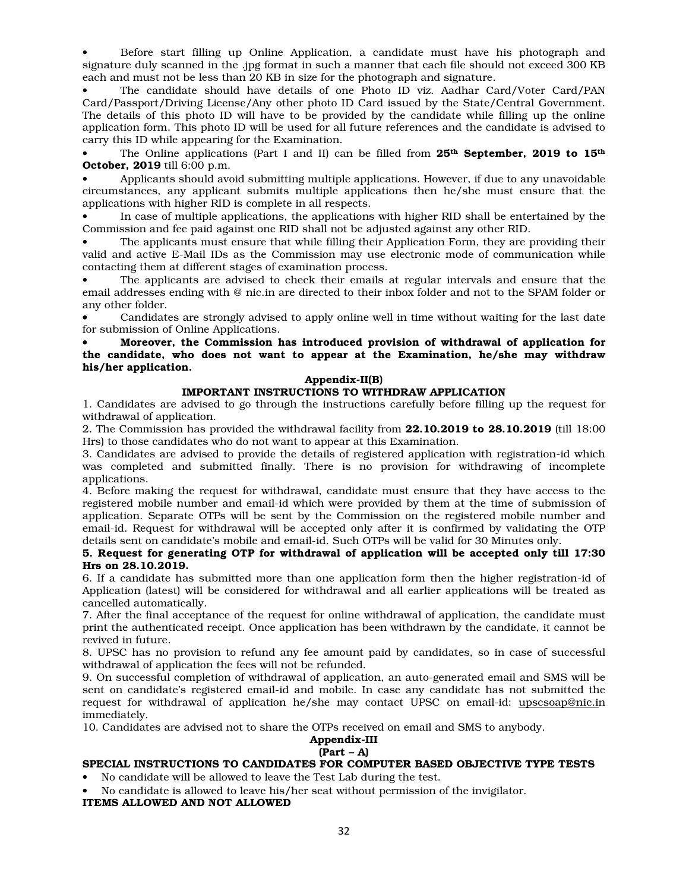• Before start filling up Online Application, a candidate must have his photograph and signature duly scanned in the .jpg format in such a manner that each file should not exceed 300 KB each and must not be less than 20 KB in size for the photograph and signature.

• The candidate should have details of one Photo ID viz. Aadhar Card/Voter Card/PAN Card/Passport/Driving License/Any other photo ID Card issued by the State/Central Government. The details of this photo ID will have to be provided by the candidate while filling up the online application form. This photo ID will be used for all future references and the candidate is advised to carry this ID while appearing for the Examination.

The Online applications (Part I and II) can be filled from  $25^{th}$  September, 2019 to  $15^{th}$ October, 2019 till 6:00 p.m.

• Applicants should avoid submitting multiple applications. However, if due to any unavoidable circumstances, any applicant submits multiple applications then he/she must ensure that the applications with higher RID is complete in all respects.

• In case of multiple applications, the applications with higher RID shall be entertained by the Commission and fee paid against one RID shall not be adjusted against any other RID.

• The applicants must ensure that while filling their Application Form, they are providing their valid and active E-Mail IDs as the Commission may use electronic mode of communication while contacting them at different stages of examination process.

• The applicants are advised to check their emails at regular intervals and ensure that the email addresses ending with @ nic.in are directed to their inbox folder and not to the SPAM folder or any other folder.

• Candidates are strongly advised to apply online well in time without waiting for the last date for submission of Online Applications.

### • Moreover, the Commission has introduced provision of withdrawal of application for the candidate, who does not want to appear at the Examination, he/she may withdraw his/her application.

## Appendix-II(B)

## IMPORTANT INSTRUCTIONS TO WITHDRAW APPLICATION

1. Candidates are advised to go through the instructions carefully before filling up the request for withdrawal of application.

2. The Commission has provided the withdrawal facility from 22.10.2019 to 28.10.2019 (till 18:00 Hrs) to those candidates who do not want to appear at this Examination.

3. Candidates are advised to provide the details of registered application with registration-id which was completed and submitted finally. There is no provision for withdrawing of incomplete applications.

4. Before making the request for withdrawal, candidate must ensure that they have access to the registered mobile number and email-id which were provided by them at the time of submission of application. Separate OTPs will be sent by the Commission on the registered mobile number and email-id. Request for withdrawal will be accepted only after it is confirmed by validating the OTP details sent on candidate's mobile and email-id. Such OTPs will be valid for 30 Minutes only.

#### 5. Request for generating OTP for withdrawal of application will be accepted only till 17:30 Hrs on 28.10.2019.

6. If a candidate has submitted more than one application form then the higher registration-id of Application (latest) will be considered for withdrawal and all earlier applications will be treated as cancelled automatically.

7. After the final acceptance of the request for online withdrawal of application, the candidate must print the authenticated receipt. Once application has been withdrawn by the candidate, it cannot be revived in future.

8. UPSC has no provision to refund any fee amount paid by candidates, so in case of successful withdrawal of application the fees will not be refunded.

9. On successful completion of withdrawal of application, an auto-generated email and SMS will be sent on candidate's registered email-id and mobile. In case any candidate has not submitted the request for withdrawal of application he/she may contact UPSC on email-id: upscsoap@nic.in immediately.

10. Candidates are advised not to share the OTPs received on email and SMS to anybody.

# Appendix-III

# $(Part - A)$

# SPECIAL INSTRUCTIONS TO CANDIDATES FOR COMPUTER BASED OBJECTIVE TYPE TESTS

- No candidate will be allowed to leave the Test Lab during the test.
- No candidate is allowed to leave his/her seat without permission of the invigilator.

ITEMS ALLOWED AND NOT ALLOWED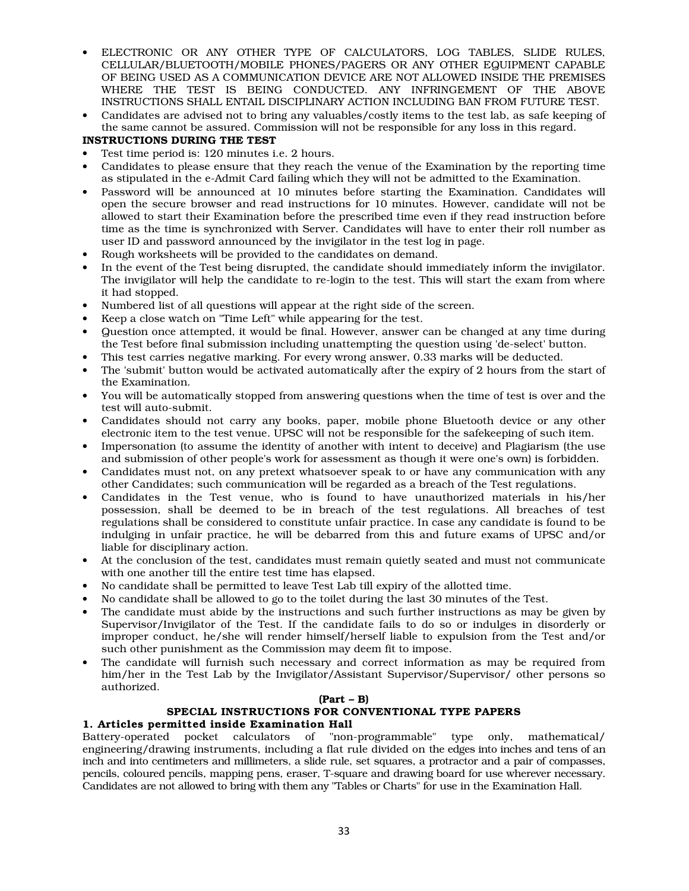- ELECTRONIC OR ANY OTHER TYPE OF CALCULATORS, LOG TABLES, SLIDE RULES, CELLULAR/BLUETOOTH/MOBILE PHONES/PAGERS OR ANY OTHER EQUIPMENT CAPABLE OF BEING USED AS A COMMUNICATION DEVICE ARE NOT ALLOWED INSIDE THE PREMISES WHERE THE TEST IS BEING CONDUCTED. ANY INFRINGEMENT OF THE ABOVE INSTRUCTIONS SHALL ENTAIL DISCIPLINARY ACTION INCLUDING BAN FROM FUTURE TEST.
- Candidates are advised not to bring any valuables/costly items to the test lab, as safe keeping of the same cannot be assured. Commission will not be responsible for any loss in this regard.

# INSTRUCTIONS DURING THE TEST

- Test time period is: 120 minutes i.e. 2 hours.
- Candidates to please ensure that they reach the venue of the Examination by the reporting time as stipulated in the e-Admit Card failing which they will not be admitted to the Examination.
- Password will be announced at 10 minutes before starting the Examination. Candidates will open the secure browser and read instructions for 10 minutes. However, candidate will not be allowed to start their Examination before the prescribed time even if they read instruction before time as the time is synchronized with Server. Candidates will have to enter their roll number as user ID and password announced by the invigilator in the test log in page.
- Rough worksheets will be provided to the candidates on demand.
- In the event of the Test being disrupted, the candidate should immediately inform the invigilator. The invigilator will help the candidate to re-login to the test. This will start the exam from where it had stopped.
- Numbered list of all questions will appear at the right side of the screen.
- Keep a close watch on "Time Left" while appearing for the test.
- Question once attempted, it would be final. However, answer can be changed at any time during the Test before final submission including unattempting the question using 'de-select' button.
- This test carries negative marking. For every wrong answer, 0.33 marks will be deducted.
- The 'submit' button would be activated automatically after the expiry of 2 hours from the start of the Examination.
- You will be automatically stopped from answering questions when the time of test is over and the test will auto-submit.
- Candidates should not carry any books, paper, mobile phone Bluetooth device or any other electronic item to the test venue. UPSC will not be responsible for the safekeeping of such item.
- Impersonation (to assume the identity of another with intent to deceive) and Plagiarism (the use and submission of other people's work for assessment as though it were one's own) is forbidden.
- Candidates must not, on any pretext whatsoever speak to or have any communication with any other Candidates; such communication will be regarded as a breach of the Test regulations.
- Candidates in the Test venue, who is found to have unauthorized materials in his/her possession, shall be deemed to be in breach of the test regulations. All breaches of test regulations shall be considered to constitute unfair practice. In case any candidate is found to be indulging in unfair practice, he will be debarred from this and future exams of UPSC and/or liable for disciplinary action.
- At the conclusion of the test, candidates must remain quietly seated and must not communicate with one another till the entire test time has elapsed.
- No candidate shall be permitted to leave Test Lab till expiry of the allotted time.
- No candidate shall be allowed to go to the toilet during the last 30 minutes of the Test.
- The candidate must abide by the instructions and such further instructions as may be given by Supervisor/Invigilator of the Test. If the candidate fails to do so or indulges in disorderly or improper conduct, he/she will render himself/herself liable to expulsion from the Test and/or such other punishment as the Commission may deem fit to impose.
- The candidate will furnish such necessary and correct information as may be required from him/her in the Test Lab by the Invigilator/Assistant Supervisor/Supervisor/ other persons so authorized.

## (Part – B)

# SPECIAL INSTRUCTIONS FOR CONVENTIONAL TYPE PAPERS

## 1. Articles permitted inside Examination Hall

Battery-operated pocket calculators of "non-programmable" type only, mathematical/ engineering/drawing instruments, including a flat rule divided on the edges into inches and tens of an inch and into centimeters and millimeters, a slide rule, set squares, a protractor and a pair of compasses, pencils, coloured pencils, mapping pens, eraser, T-square and drawing board for use wherever necessary. Candidates are not allowed to bring with them any "Tables or Charts" for use in the Examination Hall.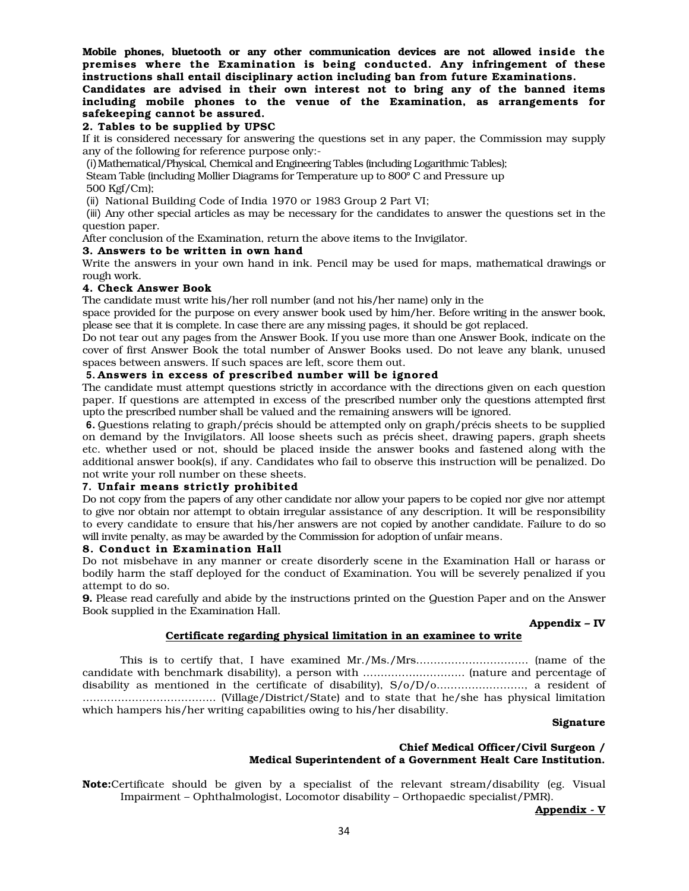Mobile phones, bluetooth or any other communication devices are not allowed inside the premises where the Examination is being conducted. Any infringement of these instructions shall entail disciplinary action including ban from future Examinations. Candidates are advised in their own interest not to bring any of the banned items

# including mobile phones to the venue of the Examination, as arrangements for safekeeping cannot be assured.

# 2. Tables to be supplied by UPSC

If it is considered necessary for answering the questions set in any paper, the Commission may supply any of the following for reference purpose only:-

(i)Mathematical/Physical, Chemical and Engineering Tables (including Logarithmic Tables);

Steam Table (including Mollier Diagrams for Temperature up to 800° C and Pressure up

500 Kgf/Cm);

(ii) National Building Code of India 1970 or 1983 Group 2 Part VI;

(iii) Any other special articles as may be necessary for the candidates to answer the questions set in the question paper.

After conclusion of the Examination, return the above items to the Invigilator.

## 3. Answers to be written in own hand

Write the answers in your own hand in ink. Pencil may be used for maps, mathematical drawings or rough work.

## 4. Check Answer Book

The candidate must write his/her roll number (and not his/her name) only in the

space provided for the purpose on every answer book used by him/her. Before writing in the answer book, please see that it is complete. In case there are any missing pages, it should be got replaced.

Do not tear out any pages from the Answer Book. If you use more than one Answer Book, indicate on the cover of first Answer Book the total number of Answer Books used. Do not leave any blank, unused spaces between answers. If such spaces are left, score them out.

## **5.** Answers in excess of prescribed number will be ignored

The candidate must attempt questions strictly in accordance with the directions given on each question paper. If questions are attempted in excess of the prescribed number only the questions attempted first upto the prescribed number shall be valued and the remaining answers will be ignored.

**6.** Questions relating to graph/précis should be attempted only on graph/précis sheets to be supplied on demand by the Invigilators. All loose sheets such as précis sheet, drawing papers, graph sheets etc. whether used or not, should be placed inside the answer books and fastened along with the additional answer book(s), if any. Candidates who fail to observe this instruction will be penalized. Do not write your roll number on these sheets.

#### **7.** Unfair means strictly prohibited

Do not copy from the papers of any other candidate nor allow your papers to be copied nor give nor attempt to give nor obtain nor attempt to obtain irregular assistance of any description. It will be responsibility to every candidate to ensure that his/her answers are not copied by another candidate. Failure to do so will invite penalty, as may be awarded by the Commission for adoption of unfair means.

#### 8. Conduct in Examination Hall

Do not misbehave in any manner or create disorderly scene in the Examination Hall or harass or bodily harm the staff deployed for the conduct of Examination. You will be severely penalized if you attempt to do so.

9. Please read carefully and abide by the instructions printed on the Question Paper and on the Answer Book supplied in the Examination Hall.

#### Appendix – IV

# Certificate regarding physical limitation in an examinee to write

This is to certify that, I have examined Mr./Ms./Mrs………………………….. (name of the candidate with benchmark disability), a person with ……………………….. (nature and percentage of disability as mentioned in the certificate of disability), S/o/D/o……………………., a resident of ……………………………….. (Village/District/State) and to state that he/she has physical limitation which hampers his/her writing capabilities owing to his/her disability.

# Signature

## Chief Medical Officer/Civil Surgeon / Medical Superintendent of a Government Healt Care Institution.

Note:Certificate should be given by a specialist of the relevant stream/disability (eg. Visual Impairment – Ophthalmologist, Locomotor disability – Orthopaedic specialist/PMR).

Appendix - V